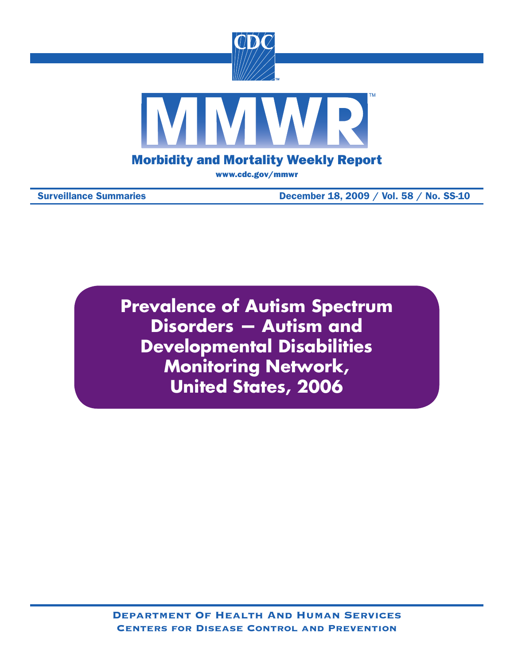

Surveillance Summaries **December 18, 2009** / Vol. 58 / No. SS-10

**Prevalence of Autism Spectrum Disorders — Autism and Developmental Disabilities Monitoring Network, United States, 2006**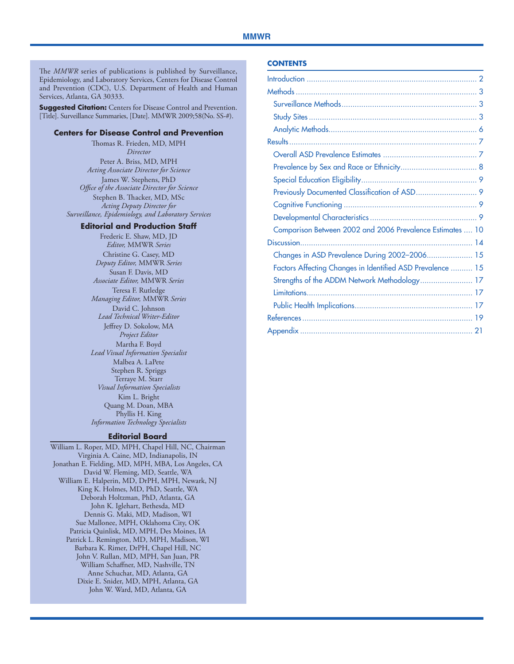The *MMWR* series of publications is published by Surveillance, Epidemiology, and Laboratory Services, Centers for Disease Control and Prevention (CDC), U.S. Department of Health and Human Services, Atlanta, GA 30333.

**Suggested Citation:** Centers for Disease Control and Prevention. [Title]. Surveillance Summaries, [Date]. MMWR 2009;58(No. SS-#).

#### **Centers for Disease Control and Prevention**

Thomas R. Frieden, MD, MPH *Director* Peter A. Briss, MD, MPH *Acting Associate Director for Science* James W. Stephens, PhD *Office of the Associate Director for Science* Stephen B. Thacker, MD, MSc *Acting Deputy Director for Surveillance, Epidemiology, and Laboratory Services*

#### **Editorial and Production Staff**

Frederic E. Shaw, MD, JD *Editor,* MMWR *Series* Christine G. Casey, MD *Deputy Editor,* MMWR *Series* Susan F. Davis, MD *Associate Editor,* MMWR *Series* Teresa F. Rutledge *Managing Editor,* MMWR *Series* David C. Johnson *Lead Technical Writer-Editor* Jeffrey D. Sokolow, MA *Project Editor* Martha F. Boyd *Lead Visual Information Specialist* Malbea A. LaPete Stephen R. Spriggs Terraye M. Starr *Visual Information Specialists* Kim L. Bright Quang M. Doan, MBA Phyllis H. King *Information Technology Specialists*

#### **Editorial Board**

William L. Roper, MD, MPH, Chapel Hill, NC, Chairman Virginia A. Caine, MD, Indianapolis, IN Jonathan E. Fielding, MD, MPH, MBA, Los Angeles, CA David W. Fleming, MD, Seattle, WA William E. Halperin, MD, DrPH, MPH, Newark, NJ King K. Holmes, MD, PhD, Seattle, WA Deborah Holtzman, PhD, Atlanta, GA John K. Iglehart, Bethesda, MD Dennis G. Maki, MD, Madison, WI Sue Mallonee, MPH, Oklahoma City, OK Patricia Quinlisk, MD, MPH, Des Moines, IA Patrick L. Remington, MD, MPH, Madison, WI Barbara K. Rimer, DrPH, Chapel Hill, NC John V. Rullan, MD, MPH, San Juan, PR William Schaffner, MD, Nashville, TN Anne Schuchat, MD, Atlanta, GA Dixie E. Snider, MD, MPH, Atlanta, GA John W. Ward, MD, Atlanta, GA

#### **Contents**

| Comparison Between 2002 and 2006 Prevalence Estimates  10  |  |
|------------------------------------------------------------|--|
|                                                            |  |
| Changes in ASD Prevalence During 2002-2006 15              |  |
| Factors Affecting Changes in Identified ASD Prevalence  15 |  |
| Strengths of the ADDM Network Methodology 17               |  |
|                                                            |  |
|                                                            |  |
|                                                            |  |
|                                                            |  |
|                                                            |  |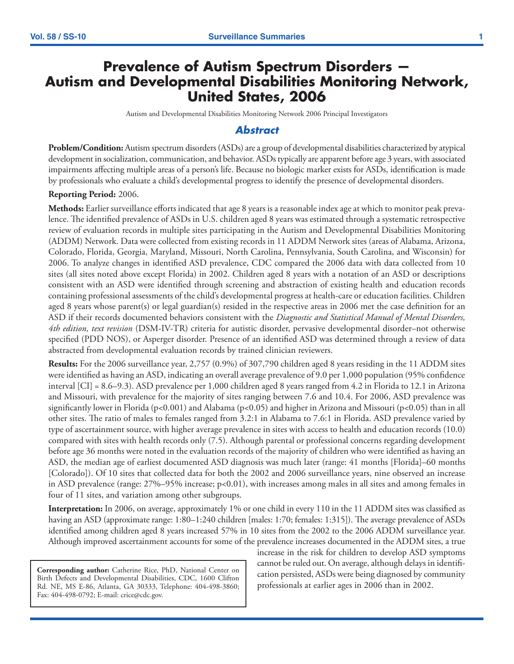# **Prevalence of Autism Spectrum Disorders — Autism and Developmental Disabilities Monitoring Network, United States, 2006**

Autism and Developmental Disabilities Monitoring Network 2006 Principal Investigators

#### *Abstract*

**Problem/Condition:** Autism spectrum disorders (ASDs) are a group of developmental disabilities characterized by atypical development in socialization, communication, and behavior. ASDs typically are apparent before age 3 years, with associated impairments affecting multiple areas of a person's life. Because no biologic marker exists for ASDs, identification is made by professionals who evaluate a child's developmental progress to identify the presence of developmental disorders.

#### **Reporting Period:** 2006.

**Methods:** Earlier surveillance efforts indicated that age 8 years is a reasonable index age at which to monitor peak prevalence. The identified prevalence of ASDs in U.S. children aged 8 years was estimated through a systematic retrospective review of evaluation records in multiple sites participating in the Autism and Developmental Disabilities Monitoring (ADDM) Network. Data were collected from existing records in 11 ADDM Network sites (areas of Alabama, Arizona, Colorado, Florida, Georgia, Maryland, Missouri, North Carolina, Pennsylvania, South Carolina, and Wisconsin) for 2006. To analyze changes in identified ASD prevalence, CDC compared the 2006 data with data collected from 10 sites (all sites noted above except Florida) in 2002. Children aged 8 years with a notation of an ASD or descriptions consistent with an ASD were identified through screening and abstraction of existing health and education records containing professional assessments of the child's developmental progress at health-care or education facilities. Children aged 8 years whose parent(s) or legal guardian(s) resided in the respective areas in 2006 met the case definition for an ASD if their records documented behaviors consistent with the *Diagnostic and Statistical Manual of Mental Disorders, 4th edition, text revision* (DSM-IV-TR) criteria for autistic disorder, pervasive developmental disorder–not otherwise specified (PDD NOS), or Asperger disorder. Presence of an identified ASD was determined through a review of data abstracted from developmental evaluation records by trained clinician reviewers.

**Results:** For the 2006 surveillance year, 2,757 (0.9%) of 307,790 children aged 8 years residing in the 11 ADDM sites were identified as having an ASD, indicating an overall average prevalence of 9.0 per 1,000 population (95% confidence interval [CI] = 8.6–9.3). ASD prevalence per 1,000 children aged 8 years ranged from 4.2 in Florida to 12.1 in Arizona and Missouri, with prevalence for the majority of sites ranging between 7.6 and 10.4. For 2006, ASD prevalence was significantly lower in Florida (p<0.001) and Alabama (p<0.05) and higher in Arizona and Missouri (p<0.05) than in all other sites. The ratio of males to females ranged from 3.2:1 in Alabama to 7.6:1 in Florida. ASD prevalence varied by type of ascertainment source, with higher average prevalence in sites with access to health and education records (10.0) compared with sites with health records only (7.5). Although parental or professional concerns regarding development before age 36 months were noted in the evaluation records of the majority of children who were identified as having an ASD, the median age of earliest documented ASD diagnosis was much later (range: 41 months [Florida]–60 months [Colorado]). Of 10 sites that collected data for both the 2002 and 2006 surveillance years, nine observed an increase in ASD prevalence (range: 27%–95% increase; p<0.01), with increases among males in all sites and among females in four of 11 sites, and variation among other subgroups.

**Interpretation:** In 2006, on average, approximately 1% or one child in every 110 in the 11 ADDM sites was classified as having an ASD (approximate range: 1:80–1:240 children [males: 1:70; females: 1:315]). The average prevalence of ASDs identified among children aged 8 years increased 57% in 10 sites from the 2002 to the 2006 ADDM surveillance year. Although improved ascertainment accounts for some of the prevalence increases documented in the ADDM sites, a true

Rd. NE, MS E-86, Atlanta, GA 30333, Telephone: 404-498-3860; Fax: 404-498-0792; E-mail: crice@cdc.gov.

increase in the risk for children to develop ASD symptoms **Corresponding author:** Catherine Rice, PhD, National Center on<br>Birth Defects and Developmental Disabilities, CDC, 1600 Clifton<br>Rd. NE, MS E-86, Atlanta, GA 30333, Telephone: 404-498-3860;<br>Rd. NE, MS E-86, Atlanta, GA 3033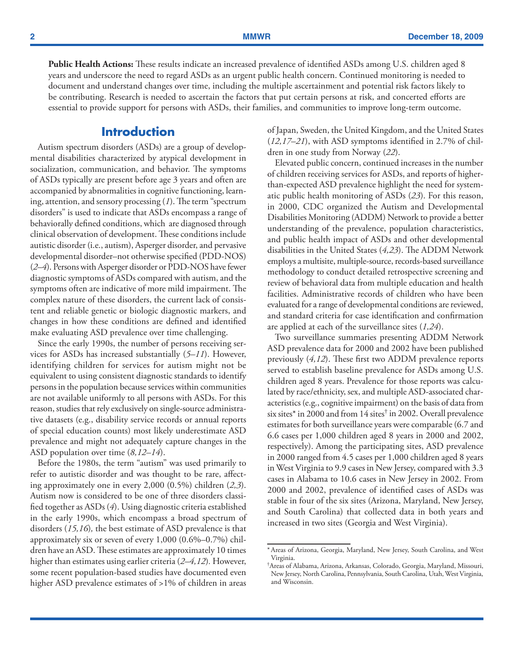<span id="page-3-0"></span>**Public Health Actions:** These results indicate an increased prevalence of identified ASDs among U.S. children aged 8 years and underscore the need to regard ASDs as an urgent public health concern. Continued monitoring is needed to document and understand changes over time, including the multiple ascertainment and potential risk factors likely to be contributing. Research is needed to ascertain the factors that put certain persons at risk, and concerted efforts are essential to provide support for persons with ASDs, their families, and communities to improve long-term outcome.

### **Introduction**

Autism spectrum disorders (ASDs) are a group of developmental disabilities characterized by atypical development in socialization, communication, and behavior. The symptoms of ASDs typically are present before age 3 years and often are accompanied by abnormalities in cognitive functioning, learning, attention, and sensory processing (*1*). The term "spectrum disorders" is used to indicate that ASDs encompass a range of behaviorally defined conditions, which are diagnosed through clinical observation of development. These conditions include autistic disorder (i.e., autism), Asperger disorder, and pervasive developmental disorder–not otherwise specified (PDD-NOS) (*2–4*). Persons with Asperger disorder or PDD-NOS have fewer diagnostic symptoms of ASDs compared with autism, and the symptoms often are indicative of more mild impairment. The complex nature of these disorders, the current lack of consistent and reliable genetic or biologic diagnostic markers, and changes in how these conditions are defined and identified make evaluating ASD prevalence over time challenging.

Since the early 1990s, the number of persons receiving services for ASDs has increased substantially (*5–11*). However, identifying children for services for autism might not be equivalent to using consistent diagnostic standards to identify persons in the population because services within communities are not available uniformly to all persons with ASDs. For this reason, studies that rely exclusively on single-source administrative datasets (e.g., disability service records or annual reports of special education counts) most likely underestimate ASD prevalence and might not adequately capture changes in the ASD population over time (*8,12–14*).

Before the 1980s, the term "autism" was used primarily to refer to autistic disorder and was thought to be rare, affecting approximately one in every 2,000 (0.5%) children (*2,3*). Autism now is considered to be one of three disorders classified together as ASDs (*4*). Using diagnostic criteria established in the early 1990s, which encompass a broad spectrum of disorders (*15,16*)*,* the best estimate of ASD prevalence is that approximately six or seven of every 1,000 (0.6%–0.7%) children have an ASD. These estimates are approximately 10 times higher than estimates using earlier criteria (*2–4,12*)*.* However, some recent population-based studies have documented even higher ASD prevalence estimates of >1% of children in areas

of Japan, Sweden, the United Kingdom, and the United States (*12,17–21*), with ASD symptoms identified in 2.7% of children in one study from Norway (*22*).

Elevated public concern, continued increases in the number of children receiving services for ASDs, and reports of higherthan-expected ASD prevalence highlight the need for systematic public health monitoring of ASDs (*23*). For this reason, in 2000, CDC organized the Autism and Developmental Disabilities Monitoring (ADDM) Network to provide a better understanding of the prevalence, population characteristics, and public health impact of ASDs and other developmental disabilities in the United States (*4,23*). The ADDM Network employs a multisite, multiple-source, records-based surveillance methodology to conduct detailed retrospective screening and review of behavioral data from multiple education and health facilities. Administrative records of children who have been evaluated for a range of developmental conditions are reviewed, and standard criteria for case identification and confirmation are applied at each of the surveillance sites (*1,24*).

Two surveillance summaries presenting ADDM Network ASD prevalence data for 2000 and 2002 have been published previously (*4,12*). These first two ADDM prevalence reports served to establish baseline prevalence for ASDs among U.S. children aged 8 years. Prevalence for those reports was calculated by race/ethnicity, sex, and multiple ASD-associated characteristics (e.g., cognitive impairment) on the basis of data from six sites\* in 2000 and from 14 sites† in 2002. Overall prevalence estimates for both surveillance years were comparable (6.7 and 6.6 cases per 1,000 children aged 8 years in 2000 and 2002, respectively). Among the participating sites, ASD prevalence in 2000 ranged from 4.5 cases per 1,000 children aged 8 years in West Virginia to 9.9 cases in New Jersey, compared with 3.3 cases in Alabama to 10.6 cases in New Jersey in 2002. From 2000 and 2002, prevalence of identified cases of ASDs was stable in four of the six sites (Arizona, Maryland, New Jersey, and South Carolina) that collected data in both years and increased in two sites (Georgia and West Virginia).

<sup>\*</sup>Areas of Arizona, Georgia, Maryland, New Jersey, South Carolina, and West Virginia.

<sup>†</sup>Areas of Alabama, Arizona, Arkansas, Colorado, Georgia, Maryland, Missouri, New Jersey, North Carolina, Pennsylvania, South Carolina, Utah, West Virginia, and Wisconsin.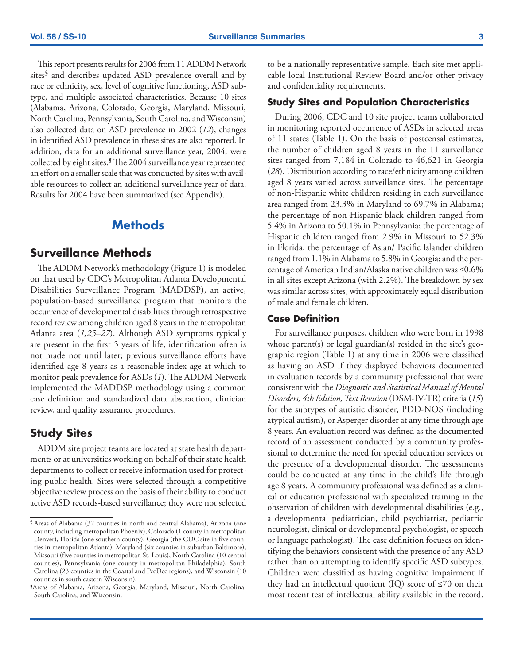<span id="page-4-0"></span>This report presents results for 2006 from 11 ADDM Network sites§ and describes updated ASD prevalence overall and by race or ethnicity, sex, level of cognitive functioning, ASD subtype, and multiple associated characteristics. Because 10 sites (Alabama, Arizona, Colorado, Georgia, Maryland, Missouri, North Carolina, Pennsylvania, South Carolina, and Wisconsin) also collected data on ASD prevalence in 2002 (*12*), changes in identified ASD prevalence in these sites are also reported. In addition, data for an additional surveillance year, 2004, were collected by eight sites. ¶ The 2004 surveillance year represented an effort on a smaller scale that was conducted by sites with available resources to collect an additional surveillance year of data. Results for 2004 have been summarized (see Appendix).

## **Methods**

#### **Surveillance Methods**

The ADDM Network's methodology (Figure 1) is modeled on that used by CDC's Metropolitan Atlanta Developmental Disabilities Surveillance Program (MADDSP), an active, population-based surveillance program that monitors the occurrence of developmental disabilities through retrospective record review among children aged 8 years in the metropolitan Atlanta area (*1,25–27*). Although ASD symptoms typically are present in the first 3 years of life, identification often is not made not until later; previous surveillance efforts have identified age 8 years as a reasonable index age at which to monitor peak prevalence for ASDs (*1*). The ADDM Network implemented the MADDSP methodology using a common case definition and standardized data abstraction, clinician review, and quality assurance procedures.

### **Study Sites**

ADDM site project teams are located at state health departments or at universities working on behalf of their state health departments to collect or receive information used for protecting public health. Sites were selected through a competitive objective review process on the basis of their ability to conduct active ASD records-based surveillance; they were not selected to be a nationally representative sample. Each site met applicable local Institutional Review Board and/or other privacy and confidentiality requirements.

#### **Study Sites and Population Characteristics**

During 2006, CDC and 10 site project teams collaborated in monitoring reported occurrence of ASDs in selected areas of 11 states (Table 1). On the basis of postcensal estimates, the number of children aged 8 years in the 11 surveillance sites ranged from 7,184 in Colorado to 46,621 in Georgia (*28*). Distribution according to race/ethnicity among children aged 8 years varied across surveillance sites. The percentage of non-Hispanic white children residing in each surveillance area ranged from 23.3% in Maryland to 69.7% in Alabama; the percentage of non-Hispanic black children ranged from 5.4% in Arizona to 50.1% in Pennsylvania; the percentage of Hispanic children ranged from 2.9% in Missouri to 52.3% in Florida; the percentage of Asian/ Pacific Islander children ranged from 1.1% in Alabama to 5.8% in Georgia; and the percentage of American Indian/Alaska native children was ≤0.6% in all sites except Arizona (with 2.2%). The breakdown by sex was similar across sites, with approximately equal distribution of male and female children.

#### **Case Definition**

For surveillance purposes, children who were born in 1998 whose parent(s) or legal guardian(s) resided in the site's geographic region (Table 1) at any time in 2006 were classified as having an ASD if they displayed behaviors documented in evaluation records by a community professional that were consistent with the *Diagnostic and Statistical Manual of Mental Disorders, 4th Edition, Text Revision* (DSM-IV-TR) criteria (*15*) for the subtypes of autistic disorder, PDD-NOS (including atypical autism), or Asperger disorder at any time through age 8 years. An evaluation record was defined as the documented record of an assessment conducted by a community professional to determine the need for special education services or the presence of a developmental disorder. The assessments could be conducted at any time in the child's life through age 8 years. A community professional was defined as a clinical or education professional with specialized training in the observation of children with developmental disabilities (e.g., a developmental pediatrician, child psychiatrist, pediatric neurologist, clinical or developmental psychologist, or speech or language pathologist). The case definition focuses on identifying the behaviors consistent with the presence of any ASD rather than on attempting to identify specific ASD subtypes. Children were classified as having cognitive impairment if they had an intellectual quotient (IQ) score of  $\leq$ 70 on their most recent test of intellectual ability available in the record.

<sup>§</sup> Areas of Alabama (32 counties in north and central Alabama), Arizona (one county, including metropolitan Phoenix), Colorado (1 county in metropolitan Denver), Florida (one southern county), Georgia (the CDC site in five counties in metropolitan Atlanta), Maryland (six counties in suburban Baltimore), Missouri (five counties in metropolitan St. Louis), North Carolina (10 central counties), Pennsylvania (one county in metropolitan Philadelphia), South Carolina (23 counties in the Coastal and PeeDee regions), and Wisconsin (10 counties in south eastern Wisconsin).

<sup>¶</sup>Areas of Alabama, Arizona, Georgia, Maryland, Missouri, North Carolina, South Carolina, and Wisconsin.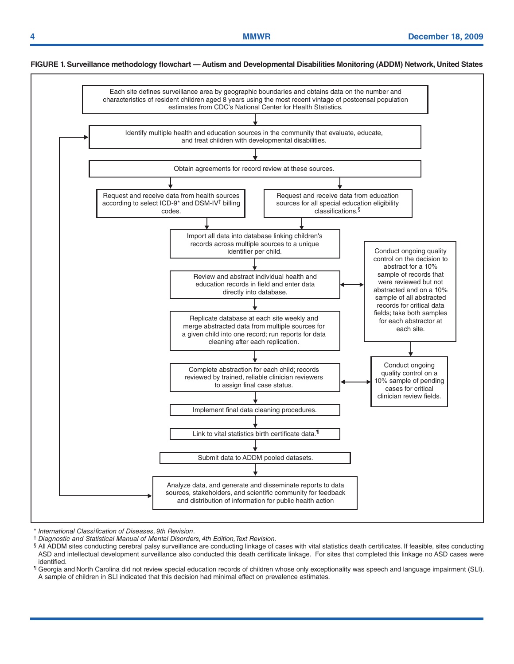#### **FIGURE 1. Surveillance methodology flowchart — Autism and Developmental Disabilities Monitoring (ADDM) Network, United States**



\* *International Classification of Diseases, 9th Revision*.

¶ Georgia and North Carolina did not review special education records of children whose only exceptionality was speech and language impairment (SLI). A sample of children in SLI indicated that this decision had minimal effect on prevalence estimates.

<sup>†</sup> *Diagnostic and Statistical Manual of Mental Disorders, 4th Edition, Text Revision*.

<sup>§</sup> All ADDM sites conducting cerebral palsy surveillance are conducting linkage of cases with vital statistics death certificates. If feasible, sites conducting ASD and intellectual development surveillance also conducted this death certificate linkage. For sites that completed this linkage no ASD cases were identified.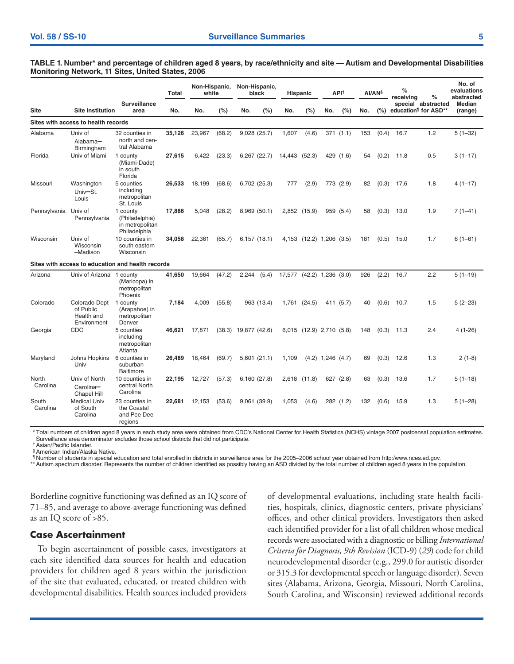#### **TABLE 1. Number\* and percentage of children aged 8 years, by race/ethnicity and site — Autism and Developmental Disabilities Monitoring Network, 11 Sites, United States, 2006**

|                      |                                                         |                                                               | <b>Total</b> | Non-Hispanic,<br>white |        | Non-Hispanic,            | black        |                           | Hispanic               |                       | API <sup>t</sup> |     | AI/AN <sup>§</sup> | $\%$<br>receivina | %                                                      | No. of<br>evaluations<br>abstracted |
|----------------------|---------------------------------------------------------|---------------------------------------------------------------|--------------|------------------------|--------|--------------------------|--------------|---------------------------|------------------------|-----------------------|------------------|-----|--------------------|-------------------|--------------------------------------------------------|-------------------------------------|
| <b>Site</b>          | <b>Site institution</b>                                 | <b>Surveillance</b><br>area                                   | No.          | No.                    | (%)    | No.                      | (%)          | No.                       | (%)                    | No.                   | (%)              | No. | (%)                |                   | special abstracted<br>education <sup>1</sup> for ASD** | Median<br>(range)                   |
|                      | Sites with access to health records                     |                                                               |              |                        |        |                          |              |                           |                        |                       |                  |     |                    |                   |                                                        |                                     |
| Alabama              | Univ of<br>Alabama-<br>Birmingham                       | 32 counties in<br>north and cen-<br>tral Alabama              | 35,126       | 23,967                 | (68.2) | 9,028 (25.7)             |              | 1,607                     | (4.6)                  |                       | 371 (1.1)        | 153 | (0.4)              | 16.7              | 1.2                                                    | $5(1-32)$                           |
| Florida              | Univ of Miami                                           | 1 county<br>(Miami-Dade)<br>in south<br>Florida               | 27,615       | 6,422                  | (23.3) | $6,267$ (22.7)           |              | 14,443 (52.3)             |                        |                       | 429 (1.6)        | 54  | (0.2)              | 11.8              | 0.5                                                    | $3(1-17)$                           |
| Missouri             | Washington<br>Univ-St.<br>Louis                         | 5 counties<br>including<br>metropolitan<br>St. Louis          | 26,533       | 18.199                 | (68.6) |                          | 6,702(25.3)  | 777                       | (2.9)                  |                       | 773 (2.9)        | 82  | (0.3)              | 17.6              | 1.8                                                    | $4(1-17)$                           |
| Pennsylvania Univ of | Pennsylvania                                            | 1 county<br>(Philadelphia)<br>in metropolitan<br>Philadelphia | 17,886       | 5.048                  | (28.2) |                          | 8,969 (50.1) |                           | 2,852 (15.9)           |                       | 959 (5.4)        | 58  | (0.3)              | 13.0              | 1.9                                                    | $7(1-41)$                           |
| Wisconsin            | Univ of<br>Wisconsin<br>-Madison                        | 10 counties in<br>south eastern<br>Wisconsin                  | 34,058       | 22,361                 | (65.7) |                          | 6,157(18.1)  | 4,153                     | $(12.2)$ 1,206 $(3.5)$ |                       |                  | 181 | (0.5)              | 15.0              | 1.7                                                    | $6(1-61)$                           |
|                      |                                                         | Sites with access to education and health records             |              |                        |        |                          |              |                           |                        |                       |                  |     |                    |                   |                                                        |                                     |
| Arizona              | Univ of Arizona 1 county                                | (Maricopa) in<br>metropolitan<br>Phoenix                      | 41.650       | 19.664                 | (47.2) | 2.244                    | (5.4)        | 17,577 (42.2) 1,236 (3.0) |                        |                       |                  | 926 | (2.2)              | 16.7              | 2.2                                                    | $5(1-19)$                           |
| Colorado             | Colorado Dept<br>of Public<br>Health and<br>Environment | 1 county<br>(Arapahoe) in<br>metropolitan<br>Denver           | 7,184        | 4,009                  | (55.8) |                          | 963 (13.4)   |                           | 1,761 (24.5)           |                       | 411 (5.7)        | 40  | (0.6)              | 10.7              | 1.5                                                    | $5(2-23)$                           |
| Georgia              | <b>CDC</b>                                              | 5 counties<br>including<br>metropolitan<br>Atlanta            | 46.621       | 17,871                 |        | $(38.3)$ 19,877 $(42.6)$ |              | 6.015                     | $(12.9)$ 2,710 $(5.8)$ |                       |                  | 148 | (0.3)              | 11.3              | 2.4                                                    | $4(1-26)$                           |
| Maryland             | Johns Hopkins<br>Univ                                   | 6 counties in<br>suburban<br><b>Baltimore</b>                 | 26,489       | 18,464                 | (69.7) | 5,601(21.1)              |              | 1,109                     |                        | $(4.2)$ 1,246 $(4.7)$ |                  | 69  | (0.3)              | 12.6              | 1.3                                                    | $2(1-8)$                            |
| North<br>Carolina    | Univ of North<br>Carolina-<br>Chapel Hill               | 10 counties in<br>central North<br>Carolina                   | 22,195       | 12,727                 | (57.3) | 6,160(27.8)              |              |                           | 2,618 (11.8)           |                       | 627(2.8)         | 63  | (0.3)              | 13.6              | 1.7                                                    | $5(1-18)$                           |
| South<br>Carolina    | <b>Medical Univ</b><br>of South<br>Carolina             | 23 counties in<br>the Coastal<br>and Pee Dee<br>regions       | 22,681       | 12,153                 | (53.6) | 9,061(39.9)              |              | 1,053                     | (4.6)                  |                       | 282 (1.2)        | 132 | (0.6)              | 15.9              | 1.3                                                    | $5(1-28)$                           |

\* Total numbers of children aged 8 years in each study area were obtained from CDC's National Center for Health Statistics (NCHS) vintage 2007 postcensal population estimates. Surveillance area denominator excludes those school districts that did not participate.

† Asian/Pacific Islander.

§ American Indian/Alaska Native.

¶ Number of students in special education and total enrolled in districts in surveillance area for the 2005–2006 school year obtained from [http:/www.nces.ed.gov.](http:/www.nces.ed.gov)

\*\* Autism spectrum disorder. Represents the number of children identified as possibly having an ASD divided by the total number of children aged 8 years in the population.

Borderline cognitive functioning was defined as an IQ score of 71–85, and average to above-average functioning was defined as an IQ score of >85.

#### **Case Ascertainment**

To begin ascertainment of possible cases, investigators at each site identified data sources for health and education providers for children aged 8 years within the jurisdiction of the site that evaluated, educated, or treated children with developmental disabilities. Health sources included providers of developmental evaluations, including state health facilities, hospitals, clinics, diagnostic centers, private physicians' offices, and other clinical providers. Investigators then asked each identified provider for a list of all children whose medical records were associated with a diagnostic or billing *International Criteria for Diagnosis, 9th Revision* (ICD*-*9) (*29*) code for child neurodevelopmental disorder (e.g., 299.0 for autistic disorder or 315.3 for developmental speech or language disorder). Seven sites (Alabama, Arizona, Georgia, Missouri, North Carolina, South Carolina, and Wisconsin) reviewed additional records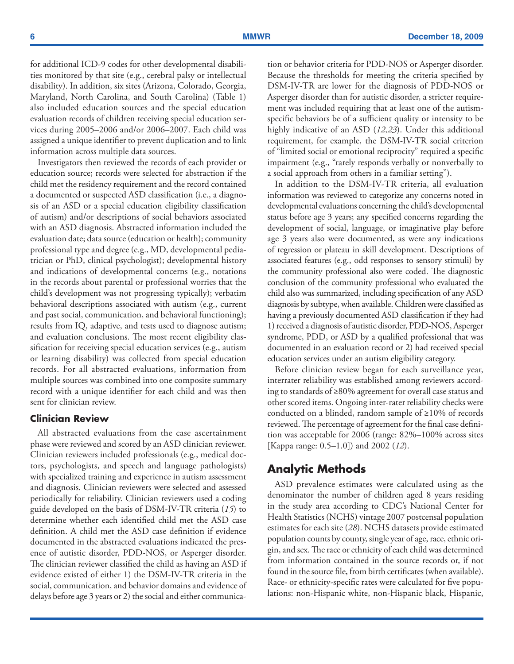<span id="page-7-0"></span>for additional ICD-9 codes for other developmental disabilities monitored by that site (e.g., cerebral palsy or intellectual disability). In addition, six sites (Arizona, Colorado, Georgia, Maryland, North Carolina, and South Carolina) (Table 1) also included education sources and the special education evaluation records of children receiving special education services during 2005–2006 and/or 2006–2007. Each child was assigned a unique identifier to prevent duplication and to link information across multiple data sources.

Investigators then reviewed the records of each provider or education source; records were selected for abstraction if the child met the residency requirement and the record contained a documented or suspected ASD classification (i.e., a diagnosis of an ASD or a special education eligibility classification of autism) and/or descriptions of social behaviors associated with an ASD diagnosis. Abstracted information included the evaluation date; data source (education or health); community professional type and degree (e.g., MD, developmental pediatrician or PhD, clinical psychologist); developmental history and indications of developmental concerns (e.g., notations in the records about parental or professional worries that the child's development was not progressing typically); verbatim behavioral descriptions associated with autism (e.g., current and past social, communication, and behavioral functioning); results from IQ, adaptive, and tests used to diagnose autism; and evaluation conclusions. The most recent eligibility classification for receiving special education services (e.g., autism or learning disability) was collected from special education records. For all abstracted evaluations, information from multiple sources was combined into one composite summary record with a unique identifier for each child and was then sent for clinician review.

#### **Clinician Review**

All abstracted evaluations from the case ascertainment phase were reviewed and scored by an ASD clinician reviewer. Clinician reviewers included professionals (e.g., medical doctors, psychologists, and speech and language pathologists) with specialized training and experience in autism assessment and diagnosis. Clinician reviewers were selected and assessed periodically for reliability. Clinician reviewers used a coding guide developed on the basis of DSM-IV-TR criteria (*15*) to determine whether each identified child met the ASD case definition. A child met the ASD case definition if evidence documented in the abstracted evaluations indicated the presence of autistic disorder, PDD-NOS, or Asperger disorder. The clinician reviewer classified the child as having an ASD if evidence existed of either 1) the DSM-IV-TR criteria in the social, communication, and behavior domains and evidence of delays before age 3 years or 2) the social and either communication or behavior criteria for PDD-NOS or Asperger disorder. Because the thresholds for meeting the criteria specified by DSM-IV-TR are lower for the diagnosis of PDD-NOS or Asperger disorder than for autistic disorder, a stricter requirement was included requiring that at least one of the autismspecific behaviors be of a sufficient quality or intensity to be highly indicative of an ASD (*12,23*). Under this additional requirement, for example, the DSM-IV-TR social criterion of "limited social or emotional reciprocity" required a specific impairment (e.g., "rarely responds verbally or nonverbally to a social approach from others in a familiar setting").

In addition to the DSM-IV-TR criteria, all evaluation information was reviewed to categorize any concerns noted in developmental evaluations concerning the child's developmental status before age 3 years; any specified concerns regarding the development of social, language, or imaginative play before age 3 years also were documented, as were any indications of regression or plateau in skill development. Descriptions of associated features (e.g., odd responses to sensory stimuli) by the community professional also were coded. The diagnostic conclusion of the community professional who evaluated the child also was summarized, including specification of any ASD diagnosis by subtype, when available. Children were classified as having a previously documented ASD classification if they had 1) received a diagnosis of autistic disorder, PDD-NOS, Asperger syndrome, PDD, or ASD by a qualified professional that was documented in an evaluation record or 2) had received special education services under an autism eligibility category.

Before clinician review began for each surveillance year, interrater reliability was established among reviewers according to standards of ≥80% agreement for overall case status and other scored items. Ongoing inter-rater reliability checks were conducted on a blinded, random sample of ≥10% of records reviewed. The percentage of agreement for the final case definition was acceptable for 2006 (range: 82%–100% across sites [Kappa range: 0.5–1.0]) and 2002 (*12*).

#### **Analytic Methods**

ASD prevalence estimates were calculated using as the denominator the number of children aged 8 years residing in the study area according to CDC's National Center for Health Statistics (NCHS) vintage 2007 postcensal population estimates for each site (*28*). NCHS datasets provide estimated population counts by county, single year of age, race, ethnic origin, and sex. The race or ethnicity of each child was determined from information contained in the source records or, if not found in the source file, from birth certificates (when available). Race- or ethnicity-specific rates were calculated for five populations: non-Hispanic white, non-Hispanic black, Hispanic,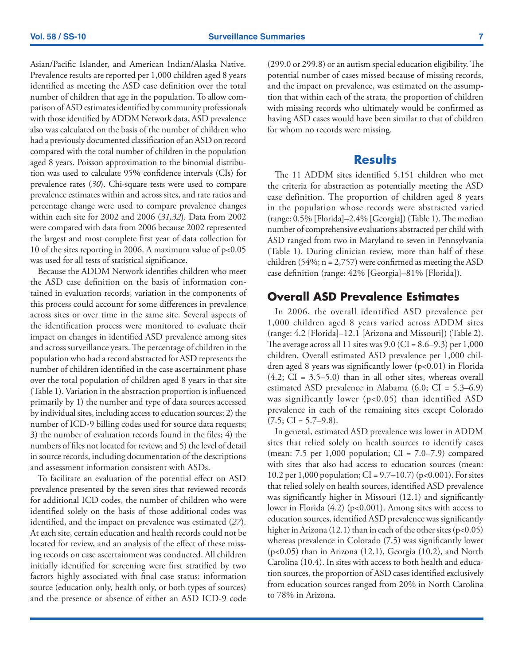<span id="page-8-0"></span>Asian/Pacific Islander, and American Indian/Alaska Native. Prevalence results are reported per 1,000 children aged 8 years identified as meeting the ASD case definition over the total number of children that age in the population. To allow comparison of ASD estimates identified by community professionals with those identified by ADDM Network data, ASD prevalence also was calculated on the basis of the number of children who had a previously documented classification of an ASD on record compared with the total number of children in the population aged 8 years. Poisson approximation to the binomial distribution was used to calculate 95% confidence intervals (CIs) for prevalence rates (*30*). Chi-square tests were used to compare prevalence estimates within and across sites, and rate ratios and percentage change were used to compare prevalence changes within each site for 2002 and 2006 (*31,32*). Data from 2002 were compared with data from 2006 because 2002 represented the largest and most complete first year of data collection for 10 of the sites reporting in 2006. A maximum value of p<0.05 was used for all tests of statistical significance.

Because the ADDM Network identifies children who meet the ASD case definition on the basis of information contained in evaluation records, variation in the components of this process could account for some differences in prevalence across sites or over time in the same site. Several aspects of the identification process were monitored to evaluate their impact on changes in identified ASD prevalence among sites and across surveillance years. The percentage of children in the population who had a record abstracted for ASD represents the number of children identified in the case ascertainment phase over the total population of children aged 8 years in that site (Table 1). Variation in the abstraction proportion is influenced primarily by 1) the number and type of data sources accessed by individual sites, including access to education sources; 2) the number of ICD-9 billing codes used for source data requests; 3) the number of evaluation records found in the files; 4) the numbers of files not located for review; and 5) the level of detail in source records, including documentation of the descriptions and assessment information consistent with ASDs.

To facilitate an evaluation of the potential effect on ASD prevalence presented by the seven sites that reviewed records for additional ICD codes, the number of children who were identified solely on the basis of those additional codes was identified, and the impact on prevalence was estimated (*27*). At each site, certain education and health records could not be located for review, and an analysis of the effect of these missing records on case ascertainment was conducted. All children initially identified for screening were first stratified by two factors highly associated with final case status: information source (education only, health only, or both types of sources) and the presence or absence of either an ASD ICD-9 code (299.0 or 299.8) or an autism special education eligibility. The potential number of cases missed because of missing records, and the impact on prevalence, was estimated on the assumption that within each of the strata, the proportion of children with missing records who ultimately would be confirmed as having ASD cases would have been similar to that of children for whom no records were missing.

#### **Results**

The 11 ADDM sites identified 5,151 children who met the criteria for abstraction as potentially meeting the ASD case definition. The proportion of children aged 8 years in the population whose records were abstracted varied (range: 0.5% [Florida]–2.4% [Georgia]) (Table 1). The median number of comprehensive evaluations abstracted per child with ASD ranged from two in Maryland to seven in Pennsylvania (Table 1). During clinician review, more than half of these children (54%; n = 2,757) were confirmed as meeting the ASD case definition (range: 42% [Georgia]–81% [Florida]).

### **Overall ASD Prevalence Estimates**

In 2006, the overall identified ASD prevalence per 1,000 children aged 8 years varied across ADDM sites (range: 4.2 [Florida]–12.1 [Arizona and Missouri]) (Table 2). The average across all 11 sites was  $9.0$  (CI =  $8.6-9.3$ ) per  $1,000$ children. Overall estimated ASD prevalence per 1,000 children aged 8 years was significantly lower (p<0.01) in Florida  $(4.2; CI = 3.5–5.0)$  than in all other sites, whereas overall estimated ASD prevalence in Alabama (6.0; CI = 5.3–6.9) was significantly lower (p<0.05) than identified ASD prevalence in each of the remaining sites except Colorado  $(7.5; CI = 5.7-9.8).$ 

In general, estimated ASD prevalence was lower in ADDM sites that relied solely on health sources to identify cases (mean: 7.5 per 1,000 population;  $CI = 7.0-7.9$ ) compared with sites that also had access to education sources (mean: 10.2 per 1,000 population; CI =  $9.7-10.7$ ) (p<0.001). For sites that relied solely on health sources, identified ASD prevalence was significantly higher in Missouri (12.1) and significantly lower in Florida (4.2) (p<0.001). Among sites with access to education sources, identified ASD prevalence was significantly higher in Arizona (12.1) than in each of the other sites (p<0.05) whereas prevalence in Colorado (7.5) was significantly lower (p<0.05) than in Arizona (12.1), Georgia (10.2), and North Carolina (10.4). In sites with access to both health and education sources, the proportion of ASD cases identified exclusively from education sources ranged from 20% in North Carolina to 78% in Arizona.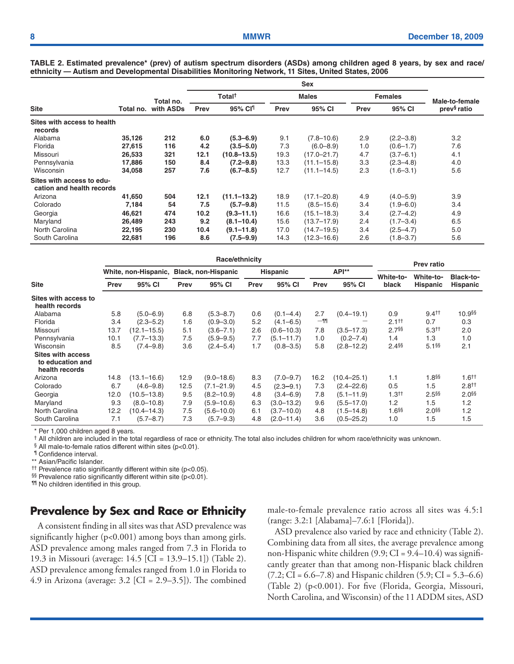|                                                        |           |           |      |                     |      | Sex             |      |                |                         |  |
|--------------------------------------------------------|-----------|-----------|------|---------------------|------|-----------------|------|----------------|-------------------------|--|
|                                                        |           | Total no. |      | Total <sup>+</sup>  |      | <b>Males</b>    |      | <b>Females</b> | Male-to-female          |  |
| <b>Site</b>                                            | Total no. | with ASDs | Prev | 95% CI <sup>1</sup> | Prev | 95% CI          | Prev | 95% CI         | prev <sup>§</sup> ratio |  |
| Sites with access to health<br>records                 |           |           |      |                     |      |                 |      |                |                         |  |
| Alabama                                                | 35,126    | 212       | 6.0  | $(5.3 - 6.9)$       | 9.1  | $(7.8 - 10.6)$  | 2.9  | $(2.2 - 3.8)$  | 3.2                     |  |
| Florida                                                | 27,615    | 116       | 4.2  | $(3.5 - 5.0)$       | 7.3  | $(6.0 - 8.9)$   | 1.0  | $(0.6 - 1.7)$  | 7.6                     |  |
| Missouri                                               | 26,533    | 321       | 12.1 | $(10.8 - 13.5)$     | 19.3 | $(17.0 - 21.7)$ | 4.7  | $(3.7 - 6.1)$  | 4.1                     |  |
| Pennsylvania                                           | 17,886    | 150       | 8.4  | $(7.2 - 9.8)$       | 13.3 | $(11.1 - 15.8)$ | 3.3  | $(2.3 - 4.8)$  | 4.0                     |  |
| Wisconsin                                              | 34,058    | 257       | 7.6  | $(6.7 - 8.5)$       | 12.7 | $(11.1 - 14.5)$ | 2.3  | $(1.6 - 3.1)$  | 5.6                     |  |
| Sites with access to edu-<br>cation and health records |           |           |      |                     |      |                 |      |                |                         |  |
| Arizona                                                | 41,650    | 504       | 12.1 | $(11.1 - 13.2)$     | 18.9 | $(17.1 - 20.8)$ | 4.9  | $(4.0 - 5.9)$  | 3.9                     |  |
| Colorado                                               | 7,184     | 54        | 7.5  | $(5.7 - 9.8)$       | 11.5 | $(8.5 - 15.6)$  | 3.4  | $(1.9 - 6.0)$  | 3.4                     |  |
| Georgia                                                | 46,621    | 474       | 10.2 | $(9.3 - 11.1)$      | 16.6 | $(15.1 - 18.3)$ | 3.4  | $(2.7 - 4.2)$  | 4.9                     |  |
| Maryland                                               | 26,489    | 243       | 9.2  | $(8.1 - 10.4)$      | 15.6 | $(13.7 - 17.9)$ | 2.4  | $(1.7 - 3.4)$  | 6.5                     |  |
| North Carolina                                         | 22,195    | 230       | 10.4 | $(9.1 - 11.8)$      | 17.0 | $(14.7 - 19.5)$ | 3.4  | $(2.5 - 4.7)$  | 5.0                     |  |
| South Carolina                                         | 22,681    | 196       | 8.6  | $(7.5 - 9.9)$       | 14.3 | $(12.3 - 16.6)$ | 2.6  | $(1.8 - 3.7)$  | 5.6                     |  |

<span id="page-9-0"></span>

| TABLE 2. Estimated prevalence* (prev) of autism spectrum disorders (ASDs) among children aged 8 years, by sex and race/ |  |  |  |  |  |  |  |
|-------------------------------------------------------------------------------------------------------------------------|--|--|--|--|--|--|--|
| ethnicity — Autism and Developmental Disabilities Monitoring Network, 11 Sites, United States, 2006                     |  |  |  |  |  |  |  |

|                                                                |      |                                          |      | <b>Prev ratio</b> |      |                 |               |                 |                     |                        |                     |
|----------------------------------------------------------------|------|------------------------------------------|------|-------------------|------|-----------------|---------------|-----------------|---------------------|------------------------|---------------------|
|                                                                |      | White, non-Hispanic, Black, non-Hispanic |      |                   |      | <b>Hispanic</b> |               | API**           | White-to-           | White-to-              | Black-to-           |
| <b>Site</b>                                                    | Prev | 95% CI                                   | Prev | 95% CI            | Prev | 95% CI          | Prev          | 95% CI          | black               | <b>Hispanic</b>        | <b>Hispanic</b>     |
| Sites with access to<br>health records                         |      |                                          |      |                   |      |                 |               |                 |                     |                        |                     |
| Alabama                                                        | 5.8  | $(5.0 - 6.9)$                            | 6.8  | $(5.3 - 8.7)$     | 0.6  | $(0.1 - 4.4)$   | 2.7           | $(0.4 - 19.1)$  | 0.9                 | 9.4 <sup>†</sup>       | 10.9 <sup>§§</sup>  |
| Florida                                                        | 3.4  | $(2.3 - 5.2)$                            | 1.6  | $(0.9 - 3.0)$     | 5.2  | $(4.1 - 6.5)$   | $-\mathbb{M}$ |                 | 2.1 <sup>†</sup>    | 0.7                    | 0.3                 |
| Missouri                                                       | 13.7 | $(12.1 - 15.5)$                          | 5.1  | $(3.6 - 7.1)$     | 2.6  | $(0.6 - 10.3)$  | 7.8           | $(3.5 - 17.3)$  | $2.7$ <sup>§§</sup> | $5.3^{\dagger\dagger}$ | 2.0                 |
| Pennsylvania                                                   | 10.1 | $(7.7 - 13.3)$                           | 7.5  | $(5.9 - 9.5)$     | 7.7  | $(5.1 - 11.7)$  | 1.0           | $(0.2 - 7.4)$   | 1.4                 | 1.3                    | 1.0                 |
| Wisconsin                                                      | 8.5  | $(7.4 - 9.8)$                            | 3.6  | $(2.4 - 5.4)$     | 1.7  | $(0.8 - 3.5)$   | 5.8           | $(2.8 - 12.2)$  | $2.4$ §§            | $5.1$ <sup>§§</sup>    | 2.1                 |
| <b>Sites with access</b><br>to education and<br>health records |      |                                          |      |                   |      |                 |               |                 |                     |                        |                     |
| Arizona                                                        | 14.8 | $(13.1 - 16.6)$                          | 12.9 | $(9.0 - 18.6)$    | 8.3  | $(7.0 - 9.7)$   | 16.2          | $(10.4 - 25.1)$ | 1.1                 | $1.8$ §§               | $1.6^{+1}$          |
| Colorado                                                       | 6.7  | $(4.6 - 9.8)$                            | 12.5 | $(7.1 - 21.9)$    | 4.5  | $(2.3 - 9.1)$   | 7.3           | $(2.4 - 22.6)$  | 0.5                 | 1.5                    | 2.8 <sup>†</sup>    |
| Georgia                                                        | 12.0 | $(10.5 - 13.8)$                          | 9.5  | $(8.2 - 10.9)$    | 4.8  | $(3.4 - 6.9)$   | 7.8           | $(5.1 - 11.9)$  | $1.3^{++}$          | $2.5$ <sup>§§</sup>    | $2.0$ <sup>§§</sup> |
| Maryland                                                       | 9.3  | $(8.0 - 10.8)$                           | 7.9  | $(5.9 - 10.6)$    | 6.3  | $(3.0 - 13.2)$  | 9.6           | $(5.5 - 17.0)$  | 1.2                 | 1.5                    | 1.2                 |
| North Carolina                                                 | 12.2 | (10.4–14.3)                              | 7.5  | $(5.6 - 10.0)$    | 6.1  | $(3.7 - 10.0)$  | 4.8           | $(1.5 - 14.8)$  | $1.6$ <sup>§§</sup> | $2.0$ <sup>§§</sup>    | 1.2                 |
| South Carolina                                                 | 7.1  | $(5.7 - 8.7)$                            | 7.3  | $(5.7 - 9.3)$     | 4.8  | $(2.0 - 11.4)$  | 3.6           | $(0.5 - 25.2)$  | 1.0                 | 1.5                    | 1.5                 |

\* Per 1,000 children aged 8 years.

† All children are included in the total regardless of race or ethnicity. The total also includes children for whom race/ethnicity was unknown.

§ All male-to-female ratios different within sites (p<0.01).

¶ Confidence interval.

\*\* Asian/Pacific Islander.

†† Prevalence ratio significantly different within site (p<0.05).

§§ Prevalence ratio significantly different within site (p<0.01).

¶¶ No children identified in this group.

### **Prevalence by Sex and Race or Ethnicity**

A consistent finding in all sites was that ASD prevalence was significantly higher  $(p<0.001)$  among boys than among girls. ASD prevalence among males ranged from 7.3 in Florida to 19.3 in Missouri (average: 14.5 [CI = 13.9–15.1]) (Table 2). ASD prevalence among females ranged from 1.0 in Florida to 4.9 in Arizona (average: 3.2 [CI = 2.9–3.5]). The combined male-to-female prevalence ratio across all sites was 4.5:1 (range: 3.2:1 [Alabama]–7.6:1 [Florida]).

ASD prevalence also varied by race and ethnicity (Table 2). Combining data from all sites, the average prevalence among non-Hispanic white children  $(9.9; CI = 9.4–10.4)$  was significantly greater than that among non-Hispanic black children  $(7.2; CI = 6.6 - 7.8)$  and Hispanic children  $(5.9; CI = 5.3 - 6.6)$ (Table 2) (p<0.001). For five (Florida, Georgia, Missouri, North Carolina, and Wisconsin) of the 11 ADDM sites, ASD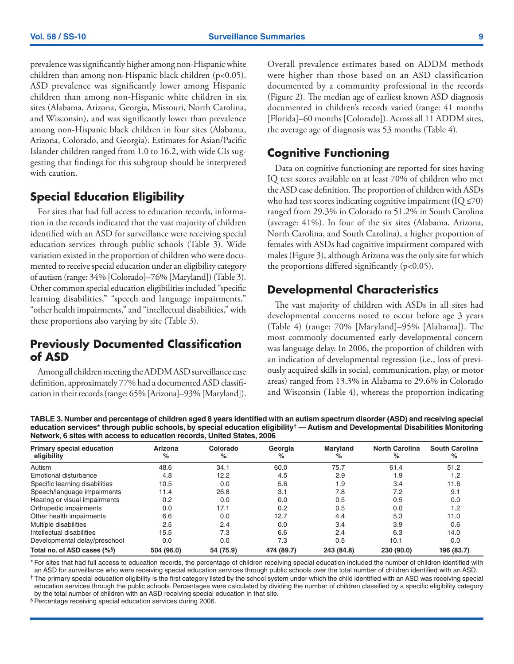<span id="page-10-0"></span>prevalence was significantly higher among non-Hispanic white children than among non-Hispanic black children (p<0.05). ASD prevalence was significantly lower among Hispanic children than among non-Hispanic white children in six sites (Alabama, Arizona, Georgia, Missouri, North Carolina, and Wisconsin), and was significantly lower than prevalence among non-Hispanic black children in four sites (Alabama, Arizona, Colorado, and Georgia). Estimates for Asian/Pacific Islander children ranged from 1.0 to 16.2, with wide CIs suggesting that findings for this subgroup should be interpreted with caution.

## **Special Education Eligibility**

For sites that had full access to education records, information in the records indicated that the vast majority of children identified with an ASD for surveillance were receiving special education services through public schools (Table 3). Wide variation existed in the proportion of children who were documented to receive special education under an eligibility category of autism (range: 34% [Colorado]–76% [Maryland]) (Table 3). Other common special education eligibilities included "specific learning disabilities," "speech and language impairments," "other health impairments," and "intellectual disabilities," with these proportions also varying by site (Table 3).

### **Previously Documented Classification of ASD**

Among all children meeting the ADDM ASD surveillance case definition, approximately 77% had a documented ASD classification in their records (range: 65% [Arizona]–93% [Maryland]). Overall prevalence estimates based on ADDM methods were higher than those based on an ASD classification documented by a community professional in the records (Figure 2). The median age of earliest known ASD diagnosis documented in children's records varied (range: 41 months [Florida]–60 months [Colorado]). Across all 11 ADDM sites, the average age of diagnosis was 53 months (Table 4).

### **Cognitive Functioning**

Data on cognitive functioning are reported for sites having IQ test scores available on at least 70% of children who met the ASD case definition. The proportion of children with ASDs who had test scores indicating cognitive impairment ( $IQ \le 70$ ) ranged from 29.3% in Colorado to 51.2% in South Carolina (average: 41%). In four of the six sites (Alabama, Arizona, North Carolina, and South Carolina), a higher proportion of females with ASDs had cognitive impairment compared with males (Figure 3), although Arizona was the only site for which the proportions differed significantly  $(p<0.05)$ .

## **Developmental Characteristics**

The vast majority of children with ASDs in all sites had developmental concerns noted to occur before age 3 years (Table 4) (range: 70% [Maryland]–95% [Alabama]). The most commonly documented early developmental concern was language delay. In 2006, the proportion of children with an indication of developmental regression (i.e., loss of previously acquired skills in social, communication, play, or motor areas) ranged from 13.3% in Alabama to 29.6% in Colorado and Wisconsin (Table 4), whereas the proportion indicating

**TABLE 3. Number and percentage of children aged 8 years identified with an autism spectrum disorder (ASD) and receiving special education services\* through public schools, by special education eligibility† — Autism and Developmental Disabilities Monitoring Network, 6 sites with access to education records, United States, 2006**

| <b>Primary special education</b><br>eligibility | Arizona<br>% | Colorado<br>$\%$ | Georgia<br>% | <b>Marvland</b><br>% | <b>North Carolina</b><br>% | <b>South Carolina</b><br>% |  |  |  |  |  |  |  |
|-------------------------------------------------|--------------|------------------|--------------|----------------------|----------------------------|----------------------------|--|--|--|--|--|--|--|
| Autism                                          | 48.6         | 34.1             | 60.0         | 75.7                 | 61.4                       | 51.2                       |  |  |  |  |  |  |  |
| Emotional disturbance                           | 4.8          | 12.2             | 4.5          | 2.9                  | 1.9                        | 1.2                        |  |  |  |  |  |  |  |
| Specific learning disabilities                  | 10.5         | 0.0              | 5.6          | 1.9                  | 3.4                        | 11.6                       |  |  |  |  |  |  |  |
| Speech/language impairments                     | 11.4         | 26.8             | 3.1          | 7.8                  | 7.2                        | 9.1                        |  |  |  |  |  |  |  |
| Hearing or visual impairments                   | 0.2          | 0.0              | 0.0          | 0.5                  | 0.5                        | 0.0                        |  |  |  |  |  |  |  |
| Orthopedic impairments                          | 0.0          | 17.1             | 0.2          | 0.5                  | 0.0                        | 1.2                        |  |  |  |  |  |  |  |
| Other health impairments                        | 6.6          | 0.0              | 12.7         | 4.4                  | 5.3                        | 11.0                       |  |  |  |  |  |  |  |
| Multiple disabilities                           | 2.5          | 2.4              | 0.0          | 3.4                  | 3.9                        | 0.6                        |  |  |  |  |  |  |  |
| Intellectual disabilities                       | 15.5         | 7.3              | 6.6          | 2.4                  | 6.3                        | 14.0                       |  |  |  |  |  |  |  |
| Developmental delay/preschool                   | 0.0          | 0.0              | 7.3          | 0.5                  | 10.1                       | 0.0                        |  |  |  |  |  |  |  |
| Total no. of ASD cases (%§)                     | 504 (96.0)   | 54 (75.9)        | 474 (89.7)   | 243 (84.8)           | 230 (90.0)                 | 196 (83.7)                 |  |  |  |  |  |  |  |

\* For sites that had full access to education records, the percentage of children receiving special education included the number of children identified with an ASD for surveillance who were receiving special education services through public schools over the total number of children identified with an ASD.

† The primary special education eligibility is the first category listed by the school system under which the child identified with an ASD was receiving special education services through the public schools. Percentages were calculated by dividing the number of children classified by a specific eligibility category by the total number of children with an ASD receiving special education in that site.

§ Percentage receiving special education services during 2006.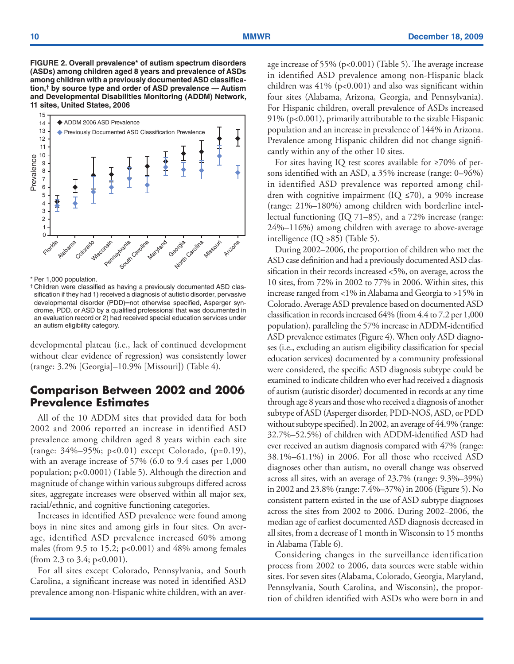<span id="page-11-0"></span>**FIGURE 2. Overall prevalence\* of autism spectrum disorders (ASDs) among children aged 8 years and prevalence of ASDs among children with a previously documented ASD classification,† by source type and order of ASD prevalence — Autism and Developmental Disabilities Monitoring (ADDM) Network, 11 sites, United States, 2006**



<sup>\*</sup> Per 1,000 population.

† Children were classified as having a previously documented ASD classification if they had 1) received a diagnosis of autistic disorder, pervasive developmental disorder (PDD)**–**not otherwise specified, Asperger syndrome, PDD, or ASD by a qualified professional that was documented in an evaluation record or 2) had received special education services under an autism eligibility category.

developmental plateau (i.e., lack of continued development without clear evidence of regression) was consistently lower (range: 3.2% [Georgia]–10.9% [Missouri]) (Table 4).

### **Comparison Between 2002 and 2006 Prevalence Estimates**

All of the 10 ADDM sites that provided data for both 2002 and 2006 reported an increase in identified ASD prevalence among children aged 8 years within each site (range: 34%–95%; p<0.01) except Colorado, (p=0.19), with an average increase of 57% (6.0 to 9.4 cases per 1,000 population; p<0.0001) (Table 5). Although the direction and magnitude of change within various subgroups differed across sites, aggregate increases were observed within all major sex, racial/ethnic, and cognitive functioning categories.

Increases in identified ASD prevalence were found among boys in nine sites and among girls in four sites. On average, identified ASD prevalence increased 60% among males (from 9.5 to 15.2; p<0.001) and 48% among females (from 2.3 to 3.4;  $p<0.001$ ).

For all sites except Colorado, Pennsylvania, and South Carolina, a significant increase was noted in identified ASD prevalence among non-Hispanic white children, with an average increase of 55% (p<0.001) (Table 5). The average increase in identified ASD prevalence among non-Hispanic black children was  $41\%$  (p<0.001) and also was significant within four sites (Alabama, Arizona, Georgia, and Pennsylvania). For Hispanic children, overall prevalence of ASDs increased 91% (p<0.001), primarily attributable to the sizable Hispanic population and an increase in prevalence of 144% in Arizona. Prevalence among Hispanic children did not change significantly within any of the other 10 sites.

For sites having IQ test scores available for ≥70% of persons identified with an ASD, a 35% increase (range: 0–96%) in identified ASD prevalence was reported among children with cognitive impairment (IQ  $\leq$ 70), a 90% increase (range: 21%–180%) among children with borderline intellectual functioning (IQ 71–85), and a 72% increase (range: 24%–116%) among children with average to above-average intelligence (IQ >85) (Table 5).

During 2002–2006, the proportion of children who met the ASD case definition and had a previously documented ASD classification in their records increased <5%, on average, across the 10 sites, from 72% in 2002 to 77% in 2006. Within sites, this increase ranged from <1% in Alabama and Georgia to >15% in Colorado. Average ASD prevalence based on documented ASD classification in records increased 64% (from 4.4 to 7.2 per 1,000 population), paralleling the 57% increase in ADDM-identified ASD prevalence estimates (Figure 4). When only ASD diagnoses (i.e., excluding an autism eligibility classification for special education services) documented by a community professional were considered, the specific ASD diagnosis subtype could be examined to indicate children who ever had received a diagnosis of autism (autistic disorder) documented in records at any time through age 8 years and those who received a diagnosis of another subtype of ASD (Asperger disorder, PDD-NOS, ASD, or PDD without subtype specified). In 2002, an average of 44.9% (range: 32.7%–52.5%) of children with ADDM-identified ASD had ever received an autism diagnosis compared with 47% (range: 38.1%–61.1%) in 2006. For all those who received ASD diagnoses other than autism, no overall change was observed across all sites, with an average of 23.7% (range: 9.3%–39%) in 2002 and 23.8% (range: 7.4%–37%) in 2006 (Figure 5). No consistent pattern existed in the use of ASD subtype diagnoses across the sites from 2002 to 2006. During 2002–2006, the median age of earliest documented ASD diagnosis decreased in all sites, from a decrease of 1 month in Wisconsin to 15 months in Alabama (Table 6).

Considering changes in the surveillance identification process from 2002 to 2006, data sources were stable within sites. For seven sites (Alabama, Colorado, Georgia, Maryland, Pennsylvania, South Carolina, and Wisconsin), the proportion of children identified with ASDs who were born in and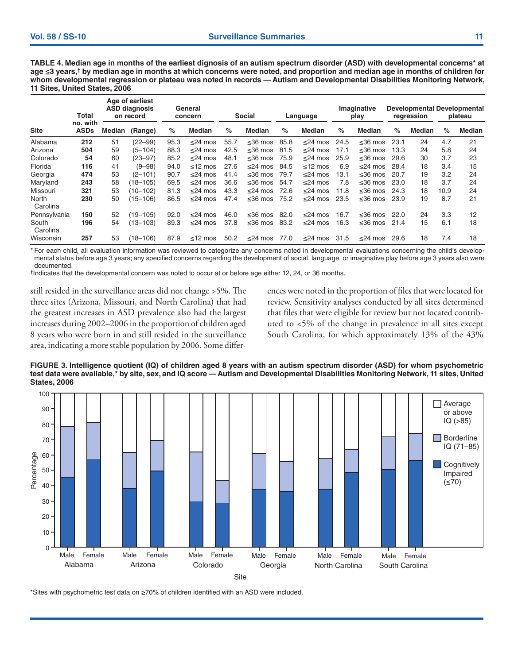| TABLE 4. Median age in months of the earliest dignosis of an autism spectrum disorder (ASD) with developmental concerns* at  |
|------------------------------------------------------------------------------------------------------------------------------|
| age ≤3 years,† by median age in months at which concerns were noted, and proportion and median age in months of children for |
| whom developmental regression or plateau was noted in records — Autism and Developmental Disabilities Monitoring Network,    |
| 11 Sites. United States, 2006                                                                                                |

|                   | Total                   |        | Age of earliest<br><b>ASD diagnosis</b><br>on record | General<br>concern |               | Social<br>Language |               |      | Imaginative<br>play |      | <b>Developmental Developmental</b><br>regression |      | plateau       |      |               |
|-------------------|-------------------------|--------|------------------------------------------------------|--------------------|---------------|--------------------|---------------|------|---------------------|------|--------------------------------------------------|------|---------------|------|---------------|
| <b>Site</b>       | no. with<br><b>ASDs</b> | Median | (Range)                                              | %                  | Median        | $\%$               | Median        | %    | <b>Median</b>       | $\%$ | Median                                           | $\%$ | <b>Median</b> | $\%$ | <b>Median</b> |
| Alabama           | 212                     | 51     | $(22 - 99)$                                          | 95.3               | $\leq$ 24 mos | 55.7               | ≤36 mos       | 85.8 | $\leq$ 24 mos       | 24.5 | $\leq$ 36 mos                                    | 23.1 | 24            | 4.7  | 21            |
| Arizona           | 504                     | 59     | $(5 - 104)$                                          | 88.3               | $≤24$ mos     | 42.5               | $\leq$ 36 mos | 81.5 | $\leq$ 24 mos       | 17.1 | ≤36 mos                                          | 13.3 | 24            | 5.8  | 24            |
| Colorado          | 54                      | 60     | $(23 - 97)$                                          | 85.2               | $<$ 24 mos    | 48.1               | ≤36 mos       | 75.9 | $\leq$ 24 mos       | 25.9 | ≤36 mos                                          | 29.6 | 30            | 3.7  | 23            |
| Florida           | 116                     | 41     | $(9 - 98)$                                           | 94.0               | $≤12$ mos     | 27.6               | $<$ 24 mos    | 84.5 | $<$ 12 mos          | 6.9  | $<$ 24 mos                                       | 28.4 | 18            | 3.4  | 15            |
| Georgia           | 474                     | 53     | $(2 - 101)$                                          | 90.7               | $\leq$ 24 mos | 41.4               | $≤36$ mos     | 79.7 | $\leq$ 24 mos       | 13.1 | ≤36 mos                                          | 20.7 | 19            | 3.2  | 24            |
| Maryland          | 243                     | 58     | (18–105)                                             | 69.5               | $\leq$ 24 mos | 36.6               | $\leq$ 36 mos | 54.7 | $\leq$ 24 mos       | 7.8  | $\leq$ 36 mos                                    | 23.0 | 18            | 3.7  | 24            |
| Missouri          | 321                     | 53     | (10–102)                                             | 81.3               | $\leq$ 24 mos | 43.3               | $\leq$ 24 mos | 72.6 | $\leq$ 24 mos       | 11.8 | $<$ 36 mos                                       | 24.3 | 18            | 10.9 | 24            |
| North<br>Carolina | 230                     | 50     | $15 - 106$                                           | 86.5               | $\leq$ 24 mos | 47.4               | ≤36 mos       | 75.2 | $<$ 24 mos          | 23.5 | $\leq$ 36 mos                                    | 23.9 | 19            | 8.7  | 21            |
| Pennsylvania      | 150                     | 52     | (19–105)                                             | 92.0               | $\leq$ 24 mos | 46.0               | ≤36 mos       | 82.0 | $\leq$ 24 mos       | 16.7 | ≤36 mos                                          | 22.0 | 24            | 3.3  | 12            |
| South<br>Carolina | 196                     | 54     | $13 - 103$                                           | 89.3               | $\leq$ 24 mos | 37.8               | $\leq$ 36 mos | 83.2 | $\leq$ 24 mos       | 16.3 | $\leq$ 36 mos                                    | 21.4 | 15            | 6.1  | 18            |
| Wisconsin         | 257                     | 53     | (18–106)                                             | 87.9               | $\leq$ 12 mos | 50.2               | $≤$ 24 mos    | 77.0 | $\leq$ 24 mos       | 31.5 | $\leq$ 24 mos                                    | 29.6 | 18            | 7.4  | 18            |

\* For each child, all evaluation information was reviewed to categorize any concerns noted in developmental evaluations concerning the child's developmental status before age 3 years; any specified concerns regarding the development of social, language, or imaginative play before age 3 years also were documented.

†Indicates that the developmental concern was noted to occur at or before age either 12, 24, or 36 months.

still resided in the surveillance areas did not change >5%. The three sites (Arizona, Missouri, and North Carolina) that had the greatest increases in ASD prevalence also had the largest increases during 2002–2006 in the proportion of children aged 8 years who were born in and still resided in the surveillance area, indicating a more stable population by 2006. Some differences were noted in the proportion of files that were located for review. Sensitivity analyses conducted by all sites determined that files that were eligible for review but not located contributed to <5% of the change in prevalence in all sites except South Carolina, for which approximately 13% of the 43%

**FIGURE 3. Intelligence quotient (IQ) of children aged 8 years with an autism spectrum disorder (ASD) for whom psychometric test data were available,\* by site, sex, and IQ score — Autism and Developmental Disabilities Monitoring Network, 11 sites, United States, 2006**



\*Sites with psychometric test data on ≥70% of children identified with an ASD were included.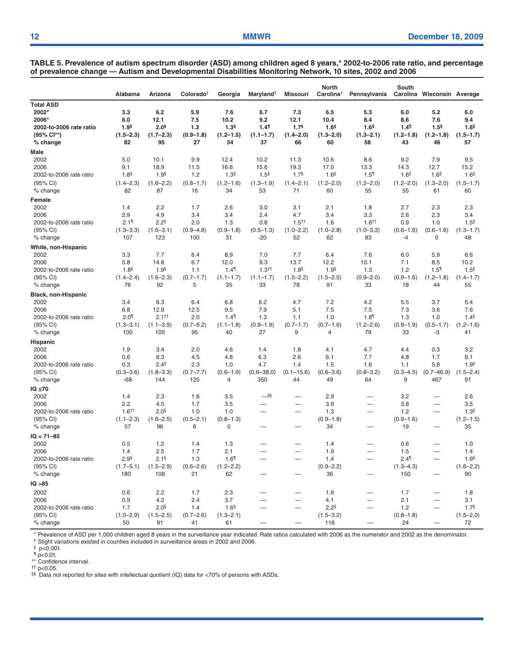|                                                                                         | Alabama                                                  | Arizona                                                 | Colorado <sup>†</sup>                     | Georgia                                                 |                                                                | Missouri                                                  | <b>North</b><br>Carolina <sup>†</sup>                   |                                                                            | South                                                    | Carolina Wisconsin Average                             |                                                        |
|-----------------------------------------------------------------------------------------|----------------------------------------------------------|---------------------------------------------------------|-------------------------------------------|---------------------------------------------------------|----------------------------------------------------------------|-----------------------------------------------------------|---------------------------------------------------------|----------------------------------------------------------------------------|----------------------------------------------------------|--------------------------------------------------------|--------------------------------------------------------|
|                                                                                         |                                                          |                                                         |                                           |                                                         | Maryland <sup>†</sup>                                          |                                                           |                                                         | Pennsylvania                                                               |                                                          |                                                        |                                                        |
| <b>Total ASD</b><br>2002*<br>2006*<br>2002-to-2006 rate ratio<br>(95% Cl**)<br>% change | 3.3<br>6.0<br>1.9 <sup>§</sup><br>$(1.5 - 2.3)$<br>82    | 6.2<br>12.1<br>2.0 <sup>§</sup><br>$(1.7 - 2.3)$<br>95  | 5.9<br>7.5<br>1.3<br>$(0.9 - 1.8)$<br>27  | 7.6<br>10.2<br>1.3 <sup>§</sup><br>$(1.2 - 1.5)$<br>34  | 6.7<br>9.2<br>1.41<br>$(1.1 - 1.7)$<br>37                      | 7.3<br>12.1<br>1.7 <sup>§</sup><br>$(1.4 - 2.0)$<br>66    | 6.5<br>10.4<br>1.6 <sup>§</sup><br>$(1.3 - 2.0)$<br>60  | 5.3<br>8.4<br>1.6 <sup>§</sup><br>$(1.3 - 2.1)$<br>58                      | 6.0<br>8.6<br>1.41<br>$(1.2 - 1.8)$<br>43                | 5.2<br>7.6<br>1.5 <sup>§</sup><br>$(1.2 - 1.8)$<br>46  | 6.0<br>9.4<br>1.6 <sup>§</sup><br>$(1.5 - 1.7)$<br>57  |
| Male                                                                                    |                                                          |                                                         |                                           |                                                         |                                                                |                                                           |                                                         |                                                                            |                                                          |                                                        |                                                        |
| 2002<br>2006<br>2002-to-2006 rate ratio<br>(95% CI)<br>% change                         | 5.0<br>9.1<br>1.8 <sup>§</sup><br>$(1.4 - 2.3)$<br>82    | 10.1<br>18.9<br>1.9 <sup>§</sup><br>$(1.6 - 2.2)$<br>87 | 9.9<br>11.5<br>1.2<br>$(0.8 - 1.7)$<br>16 | 12.4<br>16.6<br>1.3 <sup>6</sup><br>$(1.2 - 1.6)$<br>34 | 10.2<br>15.6<br>1.5 <sup>§</sup><br>$(1.3 - 1.9)$<br>53        | 11.3<br>19.3<br>1.7 <sup>6</sup><br>$(1.4 - 2.1)$<br>71   | 10.6<br>17.0<br>1.6 <sup>§</sup><br>$(1.2 - 2.0)$<br>60 | 8.6<br>13.3<br>$1.5$ <sup>1</sup><br>$(1.2 - 2.0)$<br>55                   | 9.2<br>14.3<br>1.6 <sup>§</sup><br>$(1.2 - 2.0)$<br>55   | 7.9<br>12.7<br>1.6 <sup>§</sup><br>$(1.3 - 2.0)$<br>61 | 9.5<br>15.2<br>1.6 <sup>§</sup><br>$(1.5 - 1.7)$<br>60 |
| Female                                                                                  |                                                          |                                                         |                                           |                                                         |                                                                |                                                           |                                                         |                                                                            |                                                          |                                                        |                                                        |
| 2002<br>2006<br>2002-to-2006 rate ratio<br>(95% CI)<br>% change                         | 1.4<br>2.9<br>$2.1$ <sup>1</sup><br>$(1.3 - 3.3)$<br>107 | 2.2<br>4.9<br>$2.2^{\$}$<br>$(1.6 - 3.1)$<br>123        | 1.7<br>3.4<br>2.0<br>$(0.9 - 4.8)$<br>100 | 2.6<br>3.4<br>1.3<br>$(0.9 - 1.8)$<br>31                | 3.0<br>2.4<br>0.8<br>$(0.5 - 1.3)$<br>-20                      | 3.1<br>4.7<br>1.5 <sup>†</sup><br>$(1.0 - 2.2)$<br>52     | 2.1<br>3.4<br>1.6<br>$(1.0 - 2.8)$<br>62                | 1.8<br>3.3<br>$1.8$ <sup><math>\dagger</math></sup><br>$(1.0 - 3.3)$<br>83 | 2.7<br>2.6<br>0.9<br>$(0.6 - 1.6)$<br>$-4$               | 2.3<br>2.3<br>1.0<br>$(0.6 - 1.6)$<br>0                | 2.3<br>3.4<br>1.5 <sup>§</sup><br>$(1.3 - 1.7)$<br>48  |
| White, non-Hispanic                                                                     |                                                          |                                                         |                                           |                                                         |                                                                |                                                           |                                                         |                                                                            |                                                          |                                                        |                                                        |
| 2002<br>2006<br>2002-to-2006 rate ratio<br>$(95% \text{ Cl})$<br>% change               | 3.3<br>5.8<br>1.8 <sup>§</sup><br>$(1.4 - 2.4)$<br>76    | 7.7<br>14.8<br>1.9 <sup>§</sup><br>$(1.6 - 2.3)$<br>92  | 6.4<br>6.7<br>1.1<br>$(0.7 - 1.7)$<br>5   | 8.9<br>12.0<br>1.41<br>$(1.1 - 1.7)$<br>35              | 7.0<br>9.3<br>1.3 <sup>†</sup><br>$(1.1 - 1.7)$<br>33          | 7.7<br>13.7<br>1.8 <sup>§</sup><br>$(1.5 - 2.2)$<br>78    | 6.4<br>12.2<br>1.9 <sup>§</sup><br>$(1.5 - 2.5)$<br>91  | 7.6<br>10.1<br>1.3<br>$(0.9 - 2.0)$<br>33                                  | 6.0<br>7.1<br>1.2<br>$(0.9 - 1.6)$<br>18                 | 5.9<br>8.5<br>1.51<br>$(1.2 - 1.8)$<br>44              | 6.6<br>10.2<br>1.5 <sup>§</sup><br>$(1.4 - 1.7)$<br>55 |
| Black, non-Hispanic                                                                     |                                                          |                                                         |                                           |                                                         |                                                                |                                                           |                                                         |                                                                            |                                                          |                                                        |                                                        |
| 2002<br>2006<br>2002-to-2006 rate ratio<br>$(95% \text{ Cl})$<br>% change               | 3.4<br>6.8<br>2.0<br>$(1.3 - 3.1)$<br>100                | 6.3<br>12.9<br>2.1 <sup>†</sup><br>$(1.1 - 3.9)$<br>105 | 6.4<br>12.5<br>2.0<br>$(0.7 - 5.2)$<br>95 | 6.8<br>9.5<br>$1.4$ <sup>1</sup><br>$(1.1 - 1.8)$<br>40 | 6.2<br>7.9<br>1.3<br>$(0.9 - 1.9)$<br>27                       | 4.7<br>5.1<br>1.1<br>$(0.7 - 1.7)$<br>9                   | 7.2<br>7.5<br>1.0<br>$(0.7 - 1.6)$<br>4                 | 4.2<br>7.5<br>1.8 <sup>1</sup><br>$(1.2 - 2.6)$<br>79                      | 5.5<br>7.3<br>1.3<br>$(0.9 - 1.9)$<br>33                 | 3.7<br>3.6<br>1.0<br>$(0.5 - 1.7)$<br>-3               | 5.4<br>7.6<br>1.4 <sup>§</sup><br>$(1.2 - 1.6)$<br>41  |
| Hispanic                                                                                |                                                          |                                                         |                                           |                                                         |                                                                |                                                           |                                                         |                                                                            |                                                          |                                                        |                                                        |
| 2002<br>2006<br>2002-to-2006 rate ratio<br>(95% CI)<br>% change                         | 1.9<br>0.6<br>0.3<br>$(0.3 - 3.6)$<br>$-68$              | 3.4<br>8.3<br>$2.4^{\$}$<br>$(1.8 - 3.3)$<br>144        | 2.0<br>4.5<br>2.3<br>$(0.7 - 7.7)$<br>125 | 4.6<br>4.8<br>1.0<br>$(0.6 - 1.9)$<br>4                 | 1.4<br>6.3<br>4.7<br>$(0.6 - 38.0)$<br>350                     | 1.8<br>2.6<br>1.4<br>$(0.1 - 15.6)$<br>44                 | 4.1<br>6.1<br>1.5<br>$(0.6 - 3.6)$<br>49                | 4.7<br>7.7<br>1.6<br>$(0.8 - 3.2)$<br>64                                   | 4.4<br>4.8<br>1.1<br>$(0.3 - 4.5)$<br>9                  | 0.3<br>1.7<br>5.8<br>$(0.7 - 46.9)$<br>467             | 3.2<br>6.1<br>1.9 <sup>§</sup><br>$(1.5 - 2.4)$<br>91  |
| IQ ≤70<br>2002<br>2006<br>2002-to-2006 rate ratio<br>(95% CI)<br>% change               | 1.4<br>2.2<br>1.6 <sup>†</sup><br>$(1.1 - 2.3)$<br>57    | 2.3<br>4.5<br>2.0 <sup>§</sup><br>$(1.6 - 2.5)$<br>96   | 1.6<br>1.7<br>1.0<br>$(0.5 - 2.1)$<br>6   | 3.5<br>3.5<br>1.0<br>$(0.8 - 1.3)$<br>0                 | $-$ §§<br>$\overline{\phantom{0}}$<br>$\overline{\phantom{0}}$ | $\overline{\phantom{0}}$<br>$\overline{\phantom{0}}$<br>— | 2.9<br>3.9<br>1.3<br>$(0.9 - 1.8)$<br>34                | —<br>$\overline{\phantom{m}}$<br>$\overline{\phantom{0}}$                  | 3.2<br>3.8<br>1.2<br>$(0.9 - 1.6)$<br>19                 | —<br>$\overline{\phantom{0}}$                          | 2.6<br>3.5<br>1.3 <sup>§</sup><br>$(1.2 - 1.5)$<br>35  |
| $IQ = 71 - 85$                                                                          |                                                          |                                                         |                                           |                                                         |                                                                |                                                           |                                                         |                                                                            |                                                          |                                                        |                                                        |
| 2002<br>2006<br>2002-to-2006 rate ratio<br>(95% CI)<br>% change                         | 0.5<br>1.4<br>2.9 <sup>§</sup><br>$(1.7 - 5.1)$<br>180   | 1.2<br>2.5<br>2.1 <sup>§</sup><br>$(1.5 - 2.9)$<br>108  | 1.4<br>1.7<br>1.3<br>$(0.6 - 2.6)$<br>21  | 1.3<br>2.1<br>$1.6$ <sup>1</sup><br>$(1.2 - 2.2)$<br>62 | $\overline{\phantom{0}}$                                       | $\overline{\phantom{0}}$                                  | 1.4<br>1.9<br>1.4<br>$(0.9 - 2.2)$<br>36                | $\overline{\phantom{m}}$                                                   | 0.6<br>1.5<br>$2.4$ <sup>1</sup><br>$(1.3 - 4.3)$<br>150 | $\overline{\phantom{0}}$                               | 1.0<br>1.4<br>1.9 <sup>§</sup><br>$(1.6 - 2.2)$<br>90  |
| IQ >85                                                                                  |                                                          |                                                         |                                           |                                                         |                                                                |                                                           |                                                         |                                                                            |                                                          |                                                        |                                                        |
| 2002<br>2006<br>2002-to-2006 rate ratio<br>(95% CI)                                     | 0.6<br>0.9<br>1.7<br>$(1.0 - 2.9)$                       | 2.2<br>4.2<br>2.0 <sup>§</sup><br>$(1.5 - 2.5)$         | 1.7<br>2.4<br>1.4<br>$(0.7 - 2.6)$        | 2.3<br>3.7<br>1.6 <sup>§</sup><br>$(1.3 - 2.1)$         |                                                                |                                                           | 1.9<br>4.1<br>$2.2$ §<br>$(1.5 - 3.2)$                  |                                                                            | 1.7<br>2.1<br>1.2<br>$(0.8 - 1.8)$                       | —<br>$\overline{\phantom{0}}$                          | 1.8<br>3.1<br>1.7<br>$(1.5 - 2.0)$                     |
| % change                                                                                | 50                                                       | 91                                                      | 41                                        | 61                                                      |                                                                |                                                           | 116                                                     |                                                                            | 24                                                       |                                                        | 72                                                     |

**TABLE 5. Prevalence of autism spectrum disorder (ASD) among children aged 8 years,\* 2002-to-2006 rate ratio, and percentage of prevalence change — Autism and Developmental Disabilities Monitoring Network, 10 sites, 2002 and 2006**

\* Prevalence of ASD per 1,000 children aged 8 years in the surveillance year indicated. Rate ratios calculated with 2006 as the numerator and 2002 as the denominator.

† Slight variations existed in counties included in surveillance areas in 2002 and 2006.

¶ p<0.01. \*\* Confidence interval.

 $\uparrow$  † p<0.05.

§§ Data not reported for sites with intellectual quotient (IQ) data for <70% of persons with ASDs.

<sup>§</sup> p<0.001.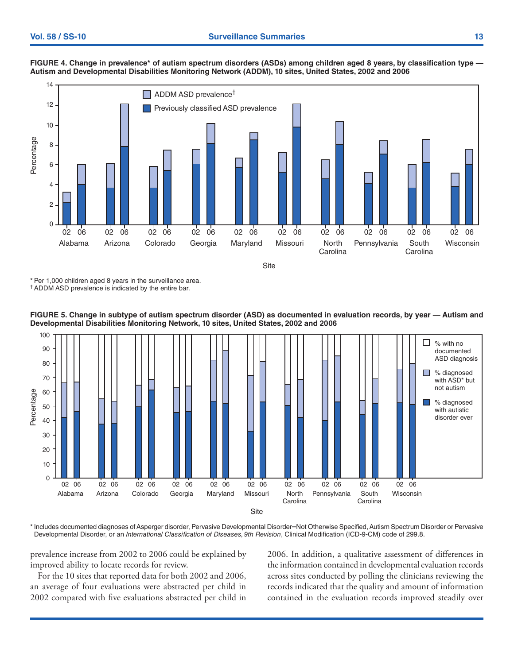





\* Per 1,000 children aged 8 years in the surveillance area.

† ADDM ASD prevalence is indicated by the entire bar.



**FIGURE 5. Change in subtype of autism spectrum disorder (ASD) as documented in evaluation records, by year — Autism and Developmental Disabilities Monitoring Network, 10 sites, United States, 2002 and 2006**

\*Includes documented diagnoses of Asperger disorder, Pervasive Developmental Disorder**–**Not Otherwise Specified, Autism Spectrum Disorder or Pervasive Developmental Disorder, or an *International Classification of Diseases, 9th Revision*, Clinical Modification (ICD-9-CM) code of 299.8.

prevalence increase from 2002 to 2006 could be explained by improved ability to locate records for review.

For the 10 sites that reported data for both 2002 and 2006, an average of four evaluations were abstracted per child in 2002 compared with five evaluations abstracted per child in 2006. In addition, a qualitative assessment of differences in the information contained in developmental evaluation records across sites conducted by polling the clinicians reviewing the records indicated that the quality and amount of information contained in the evaluation records improved steadily over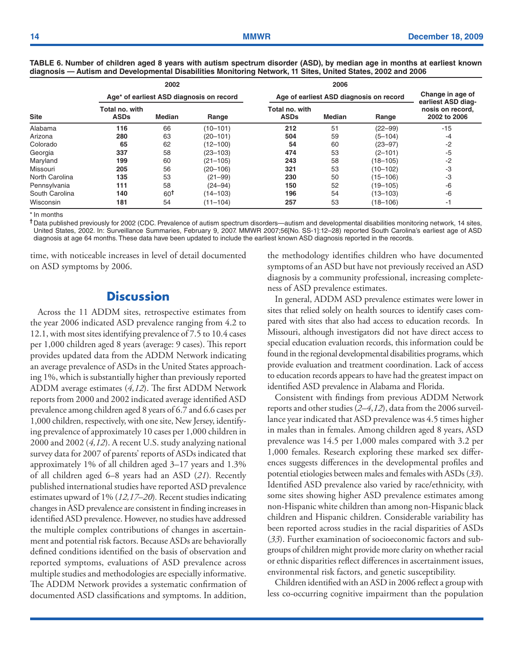|                |                               | 2002            |                                          |                               |               |                                         |                                        |
|----------------|-------------------------------|-----------------|------------------------------------------|-------------------------------|---------------|-----------------------------------------|----------------------------------------|
|                |                               |                 | Age* of earliest ASD diagnosis on record |                               |               | Age of earliest ASD diagnosis on record | Change in age of<br>earliest ASD diag- |
| Site           | Total no, with<br><b>ASDs</b> | <b>Median</b>   | Range                                    | Total no, with<br><b>ASDs</b> | <b>Median</b> | Range                                   | nosis on record,<br>2002 to 2006       |
| Alabama        | 116                           | 66              | $(10 - 101)$                             | 212                           | 51            | $(22 - 99)$                             | $-15$                                  |
| Arizona        | 280                           | 63              | $(20 - 101)$                             | 504                           | 59            | $(5 - 104)$                             | $-4$                                   |
| Colorado       | 65                            | 62              | (12–100)                                 | 54                            | 60            | $(23 - 97)$                             | $-2$                                   |
| Georgia        | 337                           | 58              | $(23 - 103)$                             | 474                           | 53            | $(2 - 101)$                             | $-5$                                   |
| Maryland       | 199                           | 60              | $(21 - 105)$                             | 243                           | 58            | $(18 - 105)$                            | $-2$                                   |
| Missouri       | 205                           | 56              | $(20 - 106)$                             | 321                           | 53            | $(10 - 102)$                            | -3                                     |
| North Carolina | 135                           | 53              | $(21 - 99)$                              | 230                           | 50            | $(15 - 106)$                            | -3                                     |
| Pennsylvania   | 111                           | 58              | $(24 - 94)$                              | 150                           | 52            | (19–105)                                | $-6$                                   |
| South Carolina | 140                           | 60 <sup>t</sup> | (14–103)                                 | 196                           | 54            | $(13 - 103)$                            | $-6$                                   |
| Wisconsin      | 181                           | 54              | $(11 - 104)$                             | 257                           | 53            | $(18 - 106)$                            | -1                                     |

<span id="page-15-0"></span>

|                                                                                                              | TABLE 6. Number of children aged 8 years with autism spectrum disorder (ASD), by median age in months at earliest known |
|--------------------------------------------------------------------------------------------------------------|-------------------------------------------------------------------------------------------------------------------------|
| diagnosis - Autism and Developmental Disabilities Monitoring Network, 11 Sites, United States, 2002 and 2006 |                                                                                                                         |

\*In months

**†**Data published previously for 2002 (CDC. Prevalence of autism spectrum disorders—autism and developmental disabilities monitoring network, 14 sites, United States, 2002. In: Surveillance Summaries, February 9, 2007. MMWR 2007;56[No. SS-1]:12–28) reported South Carolina's earliest age of ASD diagnosis at age 64 months. These data have been updated to include the earliest known ASD diagnosis reported in the records.

time, with noticeable increases in level of detail documented on ASD symptoms by 2006.

## **Discussion**

Across the 11 ADDM sites, retrospective estimates from the year 2006 indicated ASD prevalence ranging from 4.2 to 12.1, with most sites identifying prevalence of 7.5 to 10.4 cases per 1,000 children aged 8 years (average: 9 cases). This report provides updated data from the ADDM Network indicating an average prevalence of ASDs in the United States approaching 1%, which is substantially higher than previously reported ADDM average estimates (*4,12*). The first ADDM Network reports from 2000 and 2002 indicated average identified ASD prevalence among children aged 8 years of 6.7 and 6.6 cases per 1,000 children, respectively, with one site, New Jersey, identifying prevalence of approximately 10 cases per 1,000 children in 2000 and 2002 (*4,12*). A recent U.S. study analyzing national survey data for 2007 of parents' reports of ASDs indicated that approximately 1% of all children aged 3–17 years and 1.3% of all children aged 6–8 years had an ASD (*21*)*.* Recently published international studies have reported ASD prevalence estimates upward of 1% (*12,17–20*)*.* Recent studies indicating changes in ASD prevalence are consistent in finding increases in identified ASD prevalence. However, no studies have addressed the multiple complex contributions of changes in ascertainment and potential risk factors. Because ASDs are behaviorally defined conditions identified on the basis of observation and reported symptoms, evaluations of ASD prevalence across multiple studies and methodologies are especially informative. The ADDM Network provides a systematic confirmation of documented ASD classifications and symptoms. In addition,

the methodology identifies children who have documented symptoms of an ASD but have not previously received an ASD diagnosis by a community professional, increasing completeness of ASD prevalence estimates.

In general, ADDM ASD prevalence estimates were lower in sites that relied solely on health sources to identify cases compared with sites that also had access to education records. In Missouri, although investigators did not have direct access to special education evaluation records, this information could be found in the regional developmental disabilities programs, which provide evaluation and treatment coordination. Lack of access to education records appears to have had the greatest impact on identified ASD prevalence in Alabama and Florida.

Consistent with findings from previous ADDM Network reports and other studies (*2*–*4*,*12*), data from the 2006 surveillance year indicated that ASD prevalence was 4.5 times higher in males than in females. Among children aged 8 years, ASD prevalence was 14.5 per 1,000 males compared with 3.2 per 1,000 females. Research exploring these marked sex differences suggests differences in the developmental profiles and potential etiologies between males and females with ASDs (*33*). Identified ASD prevalence also varied by race/ethnicity, with some sites showing higher ASD prevalence estimates among non-Hispanic white children than among non-Hispanic black children and Hispanic children. Considerable variability has been reported across studies in the racial disparities of ASDs (*33*). Further examination of socioeconomic factors and subgroups of children might provide more clarity on whether racial or ethnic disparities reflect differences in ascertainment issues, environmental risk factors, and genetic susceptibility.

Children identified with an ASD in 2006 reflect a group with less co-occurring cognitive impairment than the population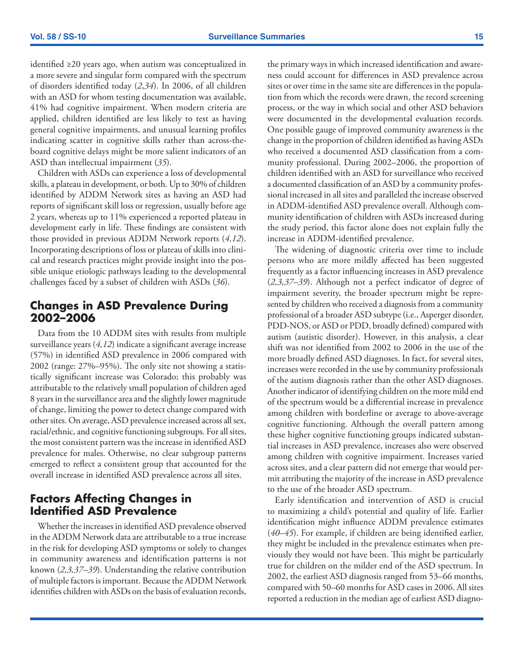<span id="page-16-0"></span>identified ≥20 years ago, when autism was conceptualized in a more severe and singular form compared with the spectrum of disorders identified today (*2*,*34*). In 2006, of all children with an ASD for whom testing documentation was available, 41% had cognitive impairment. When modern criteria are applied, children identified are less likely to test as having general cognitive impairments, and unusual learning profiles indicating scatter in cognitive skills rather than across-theboard cognitive delays might be more salient indicators of an ASD than intellectual impairment (*35*).

Children with ASDs can experience a loss of developmental skills, a plateau in development, or both. Up to 30% of children identified by ADDM Network sites as having an ASD had reports of significant skill loss or regression, usually before age 2 years, whereas up to 11% experienced a reported plateau in development early in life. These findings are consistent with those provided in previous ADDM Network reports (*4,12*). Incorporating descriptions of loss or plateau of skills into clinical and research practices might provide insight into the possible unique etiologic pathways leading to the developmental challenges faced by a subset of children with ASDs (*36*).

### **Changes in ASD Prevalence During 2002–2006**

Data from the 10 ADDM sites with results from multiple surveillance years (*4,12*) indicate a significant average increase (57%) in identified ASD prevalence in 2006 compared with 2002 (range: 27%–95%). The only site not showing a statistically significant increase was Colorado; this probably was attributable to the relatively small population of children aged 8 years in the surveillance area and the slightly lower magnitude of change, limiting the power to detect change compared with other sites. On average, ASD prevalence increased across all sex, racial/ethnic, and cognitive functioning subgroups. For all sites, the most consistent pattern was the increase in identified ASD prevalence for males. Otherwise, no clear subgroup patterns emerged to reflect a consistent group that accounted for the overall increase in identified ASD prevalence across all sites.

## **Factors Affecting Changes in Identified ASD Prevalence**

Whether the increases in identified ASD prevalence observed in the ADDM Network data are attributable to a true increase in the risk for developing ASD symptoms or solely to changes in community awareness and identification patterns is not known (*2,3,37–39*). Understanding the relative contribution of multiple factors is important. Because the ADDM Network identifies children with ASDs on the basis of evaluation records, the primary ways in which increased identification and awareness could account for differences in ASD prevalence across sites or over time in the same site are differences in the population from which the records were drawn, the record screening process, or the way in which social and other ASD behaviors were documented in the developmental evaluation records. One possible gauge of improved community awareness is the change in the proportion of children identified as having ASDs who received a documented ASD classification from a community professional. During 2002–2006, the proportion of children identified with an ASD for surveillance who received a documented classification of an ASD by a community professional increased in all sites and paralleled the increase observed in ADDM-identified ASD prevalence overall. Although community identification of children with ASDs increased during the study period, this factor alone does not explain fully the increase in ADDM-identified prevalence.

The widening of diagnostic criteria over time to include persons who are more mildly affected has been suggested frequently as a factor influencing increases in ASD prevalence (*2,3,37–39*). Although not a perfect indicator of degree of impairment severity, the broader spectrum might be represented by children who received a diagnosis from a community professional of a broader ASD subtype (i.e., Asperger disorder, PDD-NOS, or ASD or PDD, broadly defined) compared with autism (autistic disorder). However, in this analysis, a clear shift was not identified from 2002 to 2006 in the use of the more broadly defined ASD diagnoses. In fact, for several sites, increases were recorded in the use by community professionals of the autism diagnosis rather than the other ASD diagnoses. Another indicator of identifying children on the more mild end of the spectrum would be a differential increase in prevalence among children with borderline or average to above-average cognitive functioning. Although the overall pattern among these higher cognitive functioning groups indicated substantial increases in ASD prevalence, increases also were observed among children with cognitive impairment. Increases varied across sites, and a clear pattern did not emerge that would permit attributing the majority of the increase in ASD prevalence to the use of the broader ASD spectrum.

Early identification and intervention of ASD is crucial to maximizing a child's potential and quality of life. Earlier identification might influence ADDM prevalence estimates (*40–45*). For example, if children are being identified earlier, they might be included in the prevalence estimates when previously they would not have been. This might be particularly true for children on the milder end of the ASD spectrum. In 2002, the earliest ASD diagnosis ranged from 53–66 months, compared with 50–60 months for ASD cases in 2006. All sites reported a reduction in the median age of earliest ASD diagno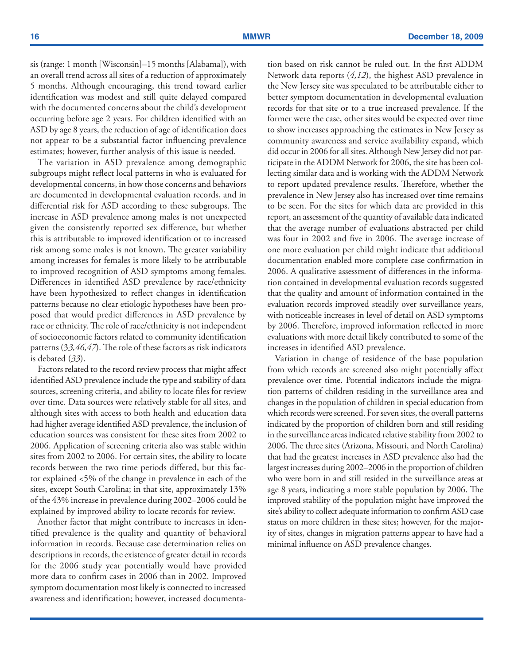sis (range: 1 month [Wisconsin]–15 months [Alabama]), with an overall trend across all sites of a reduction of approximately 5 months. Although encouraging, this trend toward earlier identification was modest and still quite delayed compared with the documented concerns about the child's development occurring before age 2 years. For children identified with an ASD by age 8 years, the reduction of age of identification does not appear to be a substantial factor influencing prevalence estimates; however, further analysis of this issue is needed.

The variation in ASD prevalence among demographic subgroups might reflect local patterns in who is evaluated for developmental concerns, in how those concerns and behaviors are documented in developmental evaluation records, and in differential risk for ASD according to these subgroups. The increase in ASD prevalence among males is not unexpected given the consistently reported sex difference, but whether this is attributable to improved identification or to increased risk among some males is not known. The greater variability among increases for females is more likely to be attributable to improved recognition of ASD symptoms among females. Differences in identified ASD prevalence by race/ethnicity have been hypothesized to reflect changes in identification patterns because no clear etiologic hypotheses have been proposed that would predict differences in ASD prevalence by race or ethnicity. The role of race/ethnicity is not independent of socioeconomic factors related to community identification patterns (3*3,46,47*). The role of these factors as risk indicators is debated (*33*).

Factors related to the record review process that might affect identified ASD prevalence include the type and stability of data sources, screening criteria, and ability to locate files for review over time. Data sources were relatively stable for all sites, and although sites with access to both health and education data had higher average identified ASD prevalence, the inclusion of education sources was consistent for these sites from 2002 to 2006. Application of screening criteria also was stable within sites from 2002 to 2006. For certain sites, the ability to locate records between the two time periods differed, but this factor explained <5% of the change in prevalence in each of the sites, except South Carolina; in that site, approximately 13% of the 43% increase in prevalence during 2002–2006 could be explained by improved ability to locate records for review.

Another factor that might contribute to increases in identified prevalence is the quality and quantity of behavioral information in records. Because case determination relies on descriptions in records, the existence of greater detail in records for the 2006 study year potentially would have provided more data to confirm cases in 2006 than in 2002. Improved symptom documentation most likely is connected to increased awareness and identification; however, increased documentation based on risk cannot be ruled out. In the first ADDM Network data reports (*4,12*), the highest ASD prevalence in the New Jersey site was speculated to be attributable either to better symptom documentation in developmental evaluation records for that site or to a true increased prevalence. If the former were the case, other sites would be expected over time to show increases approaching the estimates in New Jersey as community awareness and service availability expand, which did occur in 2006 for all sites. Although New Jersey did not participate in the ADDM Network for 2006, the site has been collecting similar data and is working with the ADDM Network to report updated prevalence results. Therefore, whether the prevalence in New Jersey also has increased over time remains to be seen. For the sites for which data are provided in this report, an assessment of the quantity of available data indicated that the average number of evaluations abstracted per child was four in 2002 and five in 2006. The average increase of one more evaluation per child might indicate that additional documentation enabled more complete case confirmation in 2006. A qualitative assessment of differences in the information contained in developmental evaluation records suggested that the quality and amount of information contained in the evaluation records improved steadily over surveillance years, with noticeable increases in level of detail on ASD symptoms by 2006. Therefore, improved information reflected in more evaluations with more detail likely contributed to some of the increases in identified ASD prevalence.

Variation in change of residence of the base population from which records are screened also might potentially affect prevalence over time. Potential indicators include the migration patterns of children residing in the surveillance area and changes in the population of children in special education from which records were screened. For seven sites, the overall patterns indicated by the proportion of children born and still residing in the surveillance areas indicated relative stability from 2002 to 2006. The three sites (Arizona, Missouri, and North Carolina) that had the greatest increases in ASD prevalence also had the largest increases during 2002–2006 in the proportion of children who were born in and still resided in the surveillance areas at age 8 years, indicating a more stable population by 2006. The improved stability of the population might have improved the site's ability to collect adequate information to confirm ASD case status on more children in these sites; however, for the majority of sites, changes in migration patterns appear to have had a minimal influence on ASD prevalence changes.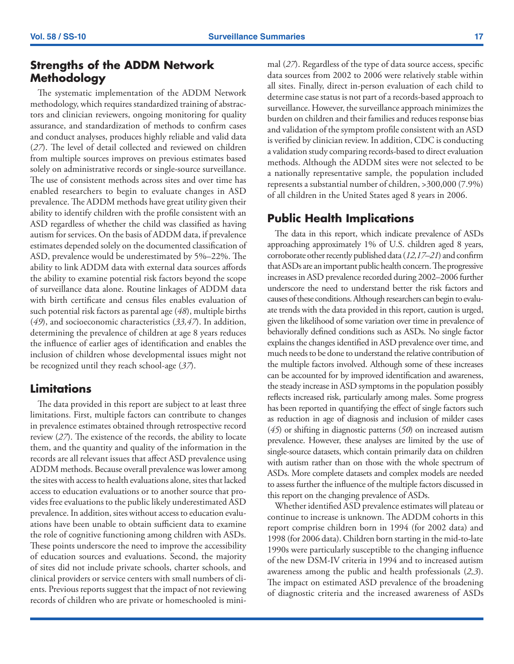# <span id="page-18-0"></span>**Strengths of the ADDM Network Methodology**

The systematic implementation of the ADDM Network methodology, which requires standardized training of abstractors and clinician reviewers, ongoing monitoring for quality assurance, and standardization of methods to confirm cases and conduct analyses, produces highly reliable and valid data (*27*). The level of detail collected and reviewed on children from multiple sources improves on previous estimates based solely on administrative records or single-source surveillance. The use of consistent methods across sites and over time has enabled researchers to begin to evaluate changes in ASD prevalence. The ADDM methods have great utility given their ability to identify children with the profile consistent with an ASD regardless of whether the child was classified as having autism for services. On the basis of ADDM data, if prevalence estimates depended solely on the documented classification of ASD, prevalence would be underestimated by 5%–22%. The ability to link ADDM data with external data sources affords the ability to examine potential risk factors beyond the scope of surveillance data alone. Routine linkages of ADDM data with birth certificate and census files enables evaluation of such potential risk factors as parental age (*48*), multiple births (*49*), and socioeconomic characteristics (*33,47*). In addition, determining the prevalence of children at age 8 years reduces the influence of earlier ages of identification and enables the inclusion of children whose developmental issues might not be recognized until they reach school-age (*37*).

### **Limitations**

The data provided in this report are subject to at least three limitations. First, multiple factors can contribute to changes in prevalence estimates obtained through retrospective record review (*27*). The existence of the records, the ability to locate them, and the quantity and quality of the information in the records are all relevant issues that affect ASD prevalence using ADDM methods. Because overall prevalence was lower among the sites with access to health evaluations alone, sites that lacked access to education evaluations or to another source that provides free evaluations to the public likely underestimated ASD prevalence. In addition, sites without access to education evaluations have been unable to obtain sufficient data to examine the role of cognitive functioning among children with ASDs. These points underscore the need to improve the accessibility of education sources and evaluations. Second, the majority of sites did not include private schools, charter schools, and clinical providers or service centers with small numbers of clients. Previous reports suggest that the impact of not reviewing records of children who are private or homeschooled is minimal (*27*). Regardless of the type of data source access, specific data sources from 2002 to 2006 were relatively stable within all sites. Finally, direct in-person evaluation of each child to determine case status is not part of a records-based approach to surveillance. However, the surveillance approach minimizes the burden on children and their families and reduces response bias and validation of the symptom profile consistent with an ASD is verified by clinician review. In addition, CDC is conducting a validation study comparing records-based to direct evaluation methods. Although the ADDM sites were not selected to be a nationally representative sample, the population included represents a substantial number of children, >300,000 (7.9%) of all children in the United States aged 8 years in 2006.

## **Public Health Implications**

The data in this report, which indicate prevalence of ASDs approaching approximately 1% of U.S. children aged 8 years, corroborate other recently published data (*12,17–21*) and confirm that ASDs are an important public health concern. The progressive increases in ASD prevalence recorded during 2002–2006 further underscore the need to understand better the risk factors and causes of these conditions. Although researchers can begin to evaluate trends with the data provided in this report, caution is urged, given the likelihood of some variation over time in prevalence of behaviorally defined conditions such as ASDs. No single factor explains the changes identified in ASD prevalence over time, and much needs to be done to understand the relative contribution of the multiple factors involved. Although some of these increases can be accounted for by improved identification and awareness, the steady increase in ASD symptoms in the population possibly reflects increased risk, particularly among males. Some progress has been reported in quantifying the effect of single factors such as reduction in age of diagnosis and inclusion of milder cases (*45*) or shifting in diagnostic patterns (*50*) on increased autism prevalence. However, these analyses are limited by the use of single-source datasets, which contain primarily data on children with autism rather than on those with the whole spectrum of ASDs. More complete datasets and complex models are needed to assess further the influence of the multiple factors discussed in this report on the changing prevalence of ASDs.

Whether identified ASD prevalence estimates will plateau or continue to increase is unknown. The ADDM cohorts in this report comprise children born in 1994 (for 2002 data) and 1998 (for 2006 data). Children born starting in the mid-to-late 1990s were particularly susceptible to the changing influence of the new DSM-IV criteria in 1994 and to increased autism awareness among the public and health professionals (*2,3*). The impact on estimated ASD prevalence of the broadening of diagnostic criteria and the increased awareness of ASDs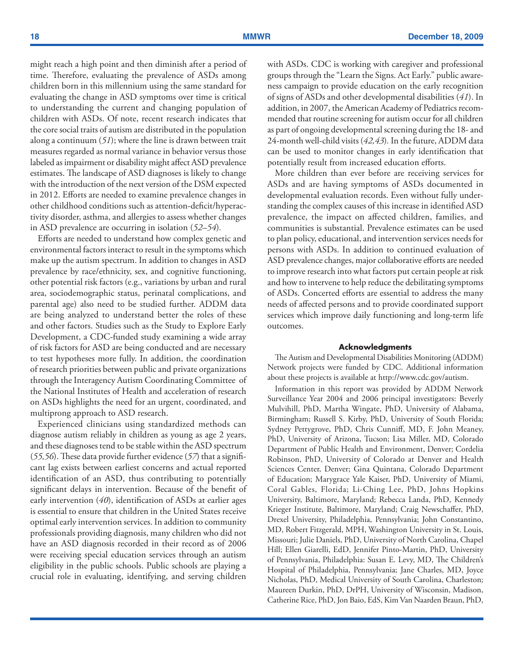might reach a high point and then diminish after a period of time. Therefore, evaluating the prevalence of ASDs among children born in this millennium using the same standard for evaluating the change in ASD symptoms over time is critical to understanding the current and changing population of children with ASDs. Of note, recent research indicates that the core social traits of autism are distributed in the population along a continuum (*51*); where the line is drawn between trait measures regarded as normal variance in behavior versus those labeled as impairment or disability might affect ASD prevalence estimates. The landscape of ASD diagnoses is likely to change with the introduction of the next version of the DSM expected in 2012. Efforts are needed to examine prevalence changes in other childhood conditions such as attention-deficit/hyperactivity disorder, asthma, and allergies to assess whether changes in ASD prevalence are occurring in isolation (*52–54*)*.*

Efforts are needed to understand how complex genetic and environmental factors interact to result in the symptoms which make up the autism spectrum. In addition to changes in ASD prevalence by race/ethnicity, sex, and cognitive functioning, other potential risk factors (e.g., variations by urban and rural area, sociodemographic status, perinatal complications, and parental age) also need to be studied further. ADDM data are being analyzed to understand better the roles of these and other factors. Studies such as the Study to Explore Early Development, a CDC-funded study examining a wide array of risk factors for ASD are being conducted and are necessary to test hypotheses more fully. In addition, the coordination of research priorities between public and private organizations through the Interagency Autism Coordinating Committee of the National Institutes of Health and acceleration of research on ASDs highlights the need for an urgent, coordinated, and multiprong approach to ASD research.

Experienced clinicians using standardized methods can diagnose autism reliably in children as young as age 2 years, and these diagnoses tend to be stable within the ASD spectrum (*55,56*). These data provide further evidence (*57*) that a significant lag exists between earliest concerns and actual reported identification of an ASD, thus contributing to potentially significant delays in intervention. Because of the benefit of early intervention (*40*), identification of ASDs at earlier ages is essential to ensure that children in the United States receive optimal early intervention services. In addition to community professionals providing diagnosis, many children who did not have an ASD diagnosis recorded in their record as of 2006 were receiving special education services through an autism eligibility in the public schools. Public schools are playing a crucial role in evaluating, identifying, and serving children with ASDs. CDC is working with caregiver and professional groups through the "Learn the Signs. Act Early." public awareness campaign to provide education on the early recognition of signs of ASDs and other developmental disabilities (*41*). In addition, in 2007, the American Academy of Pediatrics recommended that routine screening for autism occur for all children as part of ongoing developmental screening during the 18- and 24-month well-child visits (*42,43*)*.* In the future, ADDM data can be used to monitor changes in early identification that potentially result from increased education efforts.

More children than ever before are receiving services for ASDs and are having symptoms of ASDs documented in developmental evaluation records. Even without fully understanding the complex causes of this increase in identified ASD prevalence, the impact on affected children, families, and communities is substantial. Prevalence estimates can be used to plan policy, educational, and intervention services needs for persons with ASDs. In addition to continued evaluation of ASD prevalence changes, major collaborative efforts are needed to improve research into what factors put certain people at risk and how to intervene to help reduce the debilitating symptoms of ASDs. Concerted efforts are essential to address the many needs of affected persons and to provide coordinated support services which improve daily functioning and long-term life outcomes.

#### **Acknowledgments**

The Autism and Developmental Disabilities Monitoring (ADDM) Network projects were funded by CDC. Additional information about these projects is available at [http://www.cdc.gov/autism.](http://www.cdc.gov/autism)

Information in this report was provided by ADDM Network Surveillance Year 2004 and 2006 principal investigators: Beverly Mulvihill, PhD, Martha Wingate, PhD, University of Alabama, Birmingham; Russell S. Kirby, PhD, University of South Florida; Sydney Pettygrove, PhD, Chris Cunniff, MD, F. John Meaney, PhD, University of Arizona, Tucson; Lisa Miller, MD, Colorado Department of Public Health and Environment, Denver; Cordelia Robinson, PhD, University of Colorado at Denver and Health Sciences Center, Denver; Gina Quintana, Colorado Department of Education; Marygrace Yale Kaiser, PhD, University of Miami, Coral Gables, Florida; Li-Ching Lee, PhD, Johns Hopkins University, Baltimore, Maryland; Rebecca Landa, PhD, Kennedy Krieger Institute, Baltimore, Maryland; Craig Newschaffer, PhD, Drexel University, Philadelphia, Pennsylvania; John Constantino, MD, Robert Fitzgerald, MPH, Washington University in St. Louis, Missouri; Julie Daniels, PhD, University of North Carolina, Chapel Hill; Ellen Giarelli, EdD, Jennifer Pinto-Martin, PhD, University of Pennsylvania, Philadelphia: Susan E. Levy, MD, The Children's Hospital of Philadelphia, Pennsylvania; Jane Charles, MD, Joyce Nicholas, PhD, Medical University of South Carolina, Charleston; Maureen Durkin, PhD, DrPH, University of Wisconsin, Madison, Catherine Rice, PhD, Jon Baio, EdS, Kim Van Naarden Braun, PhD,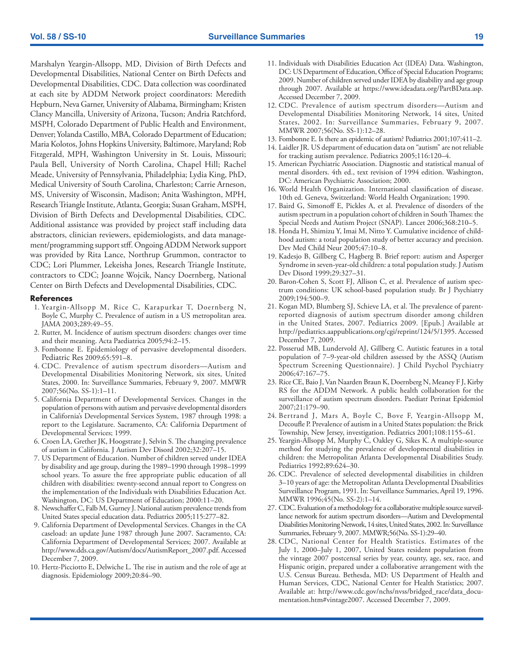<span id="page-20-0"></span>Marshalyn Yeargin-Allsopp, MD, Division of Birth Defects and Developmental Disabilities, National Center on Birth Defects and Developmental Disabilities, CDC. Data collection was coordinated at each site by ADDM Network project coordinators: Meredith Hepburn, Neva Garner, University of Alabama, Birmingham; Kristen Clancy Mancilla, University of Arizona, Tucson; Andria Ratchford, MSPH, Colorado Department of Public Health and Environment, Denver; Yolanda Castillo, MBA, Colorado Department of Education; Maria Kolotos, Johns Hopkins University, Baltimore, Maryland; Rob Fitzgerald, MPH, Washington University in St. Louis, Missouri; Paula Bell, University of North Carolina, Chapel Hill; Rachel Meade, University of Pennsylvania, Philadelphia; Lydia King, PhD, Medical University of South Carolina, Charleston; Carrie Arneson, MS, University of Wisconsin, Madison; Anita Washington, MPH, Research Triangle Institute, Atlanta, Georgia; Susan Graham, MSPH, Division of Birth Defects and Developmental Disabilities, CDC. Additional assistance was provided by project staff including data abstractors, clinician reviewers, epidemiologists, and data management/programming support stff. Ongoing ADDM Network support was provided by Rita Lance, Northrup Grummon, contractor to CDC; Lori Plummer, Lekeisha Jones, Research Triangle Institute, contractors to CDC; Joanne Wojcik, Nancy Doernberg, National Center on Birth Defects and Developmental Disabilities, CDC.

#### **References**

- 1. Yeargin-Allsopp M, Rice C, Karapurkar T, Doernberg N, Boyle C, Murphy C. Prevalence of autism in a US metropolitan area. JAMA 2003;289:49–55.
- 2. Rutter, M. Incidence of autism spectrum disorders: changes over time and their meaning. Acta Paediatrica 2005;94:2–15.
- 3. Fombonne E. Epidemiology of pervasive developmental disorders. Pediatric Res 2009;65:591–8.
- 4. CDC. Prevalence of autism spectrum disorders—Autism and Developmental Disabilities Monitoring Network, six sites, United States, 2000. In: Surveillance Summaries, February 9, 2007. MMWR 2007;56(No. SS-1):1–11.
- 5. California Department of Developmental Services. Changes in the population of persons with autism and pervasive developmental disorders in California's Developmental Services System, 1987 through 1998: a report to the Legislature. Sacramento, CA: California Department of Developmental Services; 1999.
- 6. Croen LA, Grether JK, Hoogstrate J, Selvin S. The changing prevalence of autism in California. J Autism Dev Disord 2002;32:207–15.
- 7. US Department of Education. Number of children served under IDEA by disability and age group, during the 1989–1990 through 1998–1999 school years. To assure the free appropriate public education of all children with disabilities: twenty-second annual report to Congress on the implementation of the Individuals with Disabilities Education Act. Washington, DC: US Department of Education; 2000:11–20.
- 8. Newschaffer C, Falb M, Gurney J. National autism prevalence trends from United States special education data. Pediatrics 2005;115:277–82.
- 9. California Department of Developmental Services. Changes in the CA caseload: an update June 1987 through June 2007. Sacramento, CA: California Department of Developmental Services; 2007. Available at [http://www.dds.ca.gov/Autism/docs/AutismReport\\_2007.pdf.](http://www.dds.ca.gov/Autism/docs/AutismReport_2007.pdf) Accessed December 7, 2009.
- 10. Hertz-Picciotto E, Delwiche L. The rise in autism and the role of age at diagnosis. Epidemiology 2009;20:84–90.
- 11. Individuals with Disabilities Education Act (IDEA) Data. Washington, DC: US Department of Education, Office of Special Education Programs; 2009. Number of children served under IDEA by disability and age group through 2007. Available at [https://www.ideadata.org/PartBData.asp.](https://www.ideadata.org/PartBData.asp) Accessed December 7, 2009.
- 12. CDC. Prevalence of autism spectrum disorders—Autism and Developmental Disabilities Monitoring Network, 14 sites, United States, 2002. In: Surveillance Summaries, February 9, 2007. MMWR 2007;56(No. SS-1):12–28.
- 13. Fombonne E. Is there an epidemic of autism? Pediatrics 2001;107:411–2.
- 14. Laidler JR. US department of education data on "autism" are not reliable for tracking autism prevalence. Pediatrics 2005;116:120–4.
- 15. American Psychiatric Association. Diagnostic and statistical manual of mental disorders. 4th ed., text revision of 1994 edition. Washington, DC: American Psychiatric Association; 2000.
- 16. World Health Organization. International classification of disease. 10th ed. Geneva, Switzerland: World Health Organization; 1990.
- 17. Baird G, Simonoff E, Pickles A, et al. Prevalence of disorders of the autism spectrum in a population cohort of children in South Thames: the Special Needs and Autism Project (SNAP). Lancet 2006;368:210–5.
- 18. Honda H, Shimizu Y, Imai M, Nitto Y. Cumulative incidence of childhood autism: a total population study of better accuracy and precision. Dev Med Child Neur 2005;47:10–8.
- 19. Kadesjo B, Gillberg C, Hagberg B. Brief report: autism and Asperger Syndrome in seven-year-old children: a total population study. J Autism Dev Disord 1999;29:327–31.
- 20. Baron-Cohen S, Scott FJ, Allison C, et al. Prevalence of autism spectrum conditions: UK school-based population study. Br J Psychiatry 2009;194:500–9.
- 21. Kogan MD, Blumberg SJ, Schieve LA, et al. The prevalence of parentreported diagnosis of autism spectrum disorder among children in the United States, 2007. Pediatrics 2009. [Epub.] Available at [http://pediatrics.aappublications.org/cgi/reprint/124/5/1395.](http://pediatrics.aappublications.org/cgi/reprint/124/5/1395) Accessed December 7, 2009.
- 22. Posserud MB, Lundervold AJ, Gillberg C. Autistic features in a total population of 7–9-year-old children assessed by the ASSQ (Autism Spectrum Screening Questionnaire). J Child Psychol Psychiatry 2006;47:167–75.
- 23. Rice CE, Baio J, Van Naarden Braun K, Doernberg N, Meaney F J, Kirby RS for the ADDM Network. A public health collaboration for the surveillance of autism spectrum disorders. Paediatr Perinat Epidemiol 2007;21:179–90.
- 24. Bertrand J, Mars A, Boyle C, Bove F, Yeargin-Allsopp M, Decoufle P. Prevalence of autism in a United States population: the Brick Township, New Jersey, investigation. Pediatrics 2001;108:1155–61.
- 25. Yeargin-Allsopp M, Murphy C, Oakley G, Sikes K. A multiple-source method for studying the prevalence of developmental disabilities in children: the Metropolitan Atlanta Developmental Disabilities Study. Pediatrics 1992;89:624–30.
- 26. CDC. Prevalence of selected developmental disabilities in children 3–10 years of age: the Metropolitan Atlanta Developmental Disabilities Surveillance Program, 1991. In: Surveillance Summaries, April 19, 1996. MMWR 1996;45(No. SS-2):1–14.
- 27. CDC. Evaluation of a methodology for a collaborative multiple source surveillance network for autism spectrum disorders—Autism and Developmental Disabilities Monitoring Network, 14 sites, United States, 2002. In: Surveillance Summaries, February 9, 2007. MMWR;56(No. SS-1):29–40.
- 28. CDC, National Center for Health Statistics. Estimates of the July 1, 2000–July 1, 2007, United States resident population from the vintage 2007 postcensal series by year, county, age, sex, race, and Hispanic origin, prepared under a collaborative arrangement with the U.S. Census Bureau. Bethesda, MD: US Department of Health and Human Services, CDC, National Center for Health Statistics; 2007. Available at: [http://www.cdc.gov/nchs/nvss/bridged\\_race/data\\_docu](http://www.cdc.gov/nchs/nvss/bridged_race/data_documentation.htm#vintage2007)[mentation.htm#vintage2007](http://www.cdc.gov/nchs/nvss/bridged_race/data_documentation.htm#vintage2007). Accessed December 7, 2009.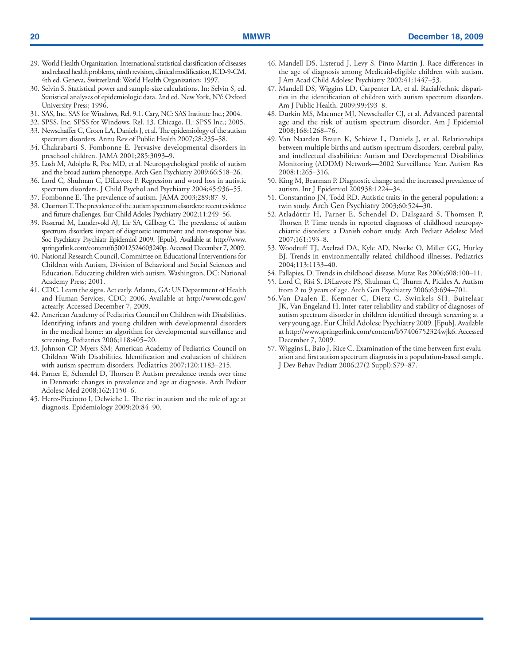- 29. World Health Organization. International statistical classification of diseases and related health problems, ninth revision, clinical modification, ICD-9-CM. 4th ed. Geneva, Switzerland: World Health Organization; 1997.
- 30. Selvin S. Statistical power and sample-size calculations. In: Selvin S, ed. Statistical analyses of epidemiologic data. 2nd ed. New York, NY: Oxford University Press; 1996.
- 31. SAS, Inc. SAS for Windows, Rel. 9.1. Cary, NC: SAS Institute Inc.; 2004.
- 32. SPSS, Inc. SPSS for Windows, Rel. 13. Chicago, IL: SPSS Inc.; 2005.
- 33. Newschaffer C, Croen LA, Daniels J, et al. The epidemiology of the autism spectrum disorders. Annu Rev of Public Health 2007;28:235–58.
- 34. Chakrabarti S, Fombonne E. Pervasive developmental disorders in preschool children. JAMA 2001;285:3093–9.
- 35. Losh M, Adolphs R, Poe MD, et al. Neuropsychological profile of autism and the broad autism phenotype. Arch Gen Psychiatry 2009;66:518–26.
- 36. Lord C, Shulman C, DiLavore P. Regression and word loss in autistic spectrum disorders. J Child Psychol and Psychiatry 2004;45:936–55.
- 37. Fombonne E. The prevalence of autism. JAMA 2003;289:87–9.
- 38. Charman T. The prevalence of the autism spectrum disorders: recent evidence and future challenges. Eur Child Adoles Psychiatry 2002;11:249–56.
- 39. Posserud M, Lundervold AJ, Lie SA, Gillberg C. The prevalence of autism spectrum disorders: impact of diagnostic instrument and non-response bias. Soc Psychiatry Psychiatr Epidemiol 2009. [Epub]. Available at [http://www.](http://www.springerlink.com/content/650012524603240p) [springerlink.com/content/650012524603240p](http://www.springerlink.com/content/650012524603240p). Accessed December 7, 2009.
- 40. National Research Council, Committee on Educational Interventions for Children with Autism, Division of Behavioral and Social Sciences and Education. Educating children with autism. Washington, DC: National Academy Press; 2001.
- 41. CDC. Learn the signs. Act early. Atlanta, GA: US Department of Health and Human Services, CDC; 2006. Available at [http://www.cdc.gov/](http://www.cdc.gov/actearly) [actearly](http://www.cdc.gov/actearly). Accessed December 7, 2009.
- 42. American Academy of Pediatrics Council on Children with Disabilities. Identifying infants and young children with developmental disorders in the medical home: an algorithm for developmental surveillance and screening. Pediatrics 2006;118:405–20.
- 43. Johnson CP, Myers SM; American Academy of Pediatrics Council on Children With Disabilities. Identification and evaluation of children with autism spectrum disorders. Pediatrics 2007;120:1183–215.
- 44. Parner E, Schendel D, Thorsen P. Autism prevalence trends over time in Denmark: changes in prevalence and age at diagnosis. Arch Pediatr Adolesc Med 2008;162:1150–6.
- 45. Hertz-Picciotto I, Delwiche L. The rise in autism and the role of age at diagnosis. Epidemiology 2009;20:84–90.
- 46. Mandell DS, Listerud J, Levy S, Pinto-Martin J. Race differences in the age of diagnosis among Medicaid-eligible children with autism. J Am Acad Child Adolesc Psychiatry 2002;41:1447–53.
- 47. Mandell DS, Wiggins LD, Carpenter LA, et al. Racial/ethnic disparities in the identification of children with autism spectrum disorders. Am J Public Health. 2009;99:493–8.
- 48. Durkin MS, Maenner MJ, Newschaffer CJ, et al. Advanced parental age and the risk of autism spectrum disorder. Am J Epidemiol 2008;168:1268–76.
- 49. Van Naarden Braun K, Schieve L, Daniels J, et al. Relationships between multiple births and autism spectrum disorders, cerebral palsy, and intellectual disabilities: Autism and Developmental Disabilities Monitoring (ADDM) Network—2002 Surveillance Year. Autism Res 2008;1:265–316.
- 50. King M, Bearman P. Diagnostic change and the increased prevalence of autism. Int J Epidemiol 200938:1224–34.
- 51. Constantino JN, Todd RD. Autistic traits in the general population: a twin study. Arch Gen Psychiatry 2003;60:524–30.
- 52. Atladóttir H, Parner E, Schendel D, Dalsgaard S, Thomsen P, Thorsen P. Time trends in reported diagnoses of childhood neuropsychiatric disorders: a Danish cohort study. Arch Pediatr Adolesc Med 2007;161:193–8.
- 53. Woodruff TJ, Axelrad DA, Kyle AD, Nweke O, Miller GG, Hurley BJ. Trends in environmentally related childhood illnesses. Pediatrics 2004;113:1133–40.
- 54. Pallapies, D. Trends in childhood disease. Mutat Res 2006;608:100–11.
- 55. Lord C, Risi S, DiLavore PS, Shulman C, Thurm A, Pickles A. Autism from 2 to 9 years of age. Arch Gen Psychiatry 2006;63:694–701.
- 56.Van Daalen E, Kemner C, Dietz C, Swinkels SH, Buitelaar JK, Van Engeland H. Inter-rater reliability and stability of diagnoses of autism spectrum disorder in children identified through screening at a very young age. Eur Child Adolesc Psychiatry 2009. [Epub]. Available at<http://www.springerlink.com/content/b57406752324wjk6>. Accessed December 7, 2009.
- 57. Wiggins L, Baio J, Rice C. Examination of the time between first evaluation and first autism spectrum diagnosis in a population-based sample. J Dev Behav Pediatr 2006;27(2 Suppl):S79–87.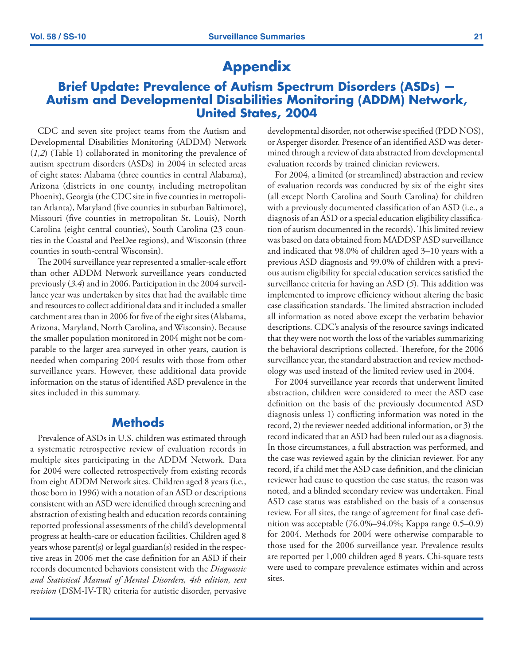# **Appendix**

## <span id="page-22-0"></span>**Brief Update: Prevalence of Autism Spectrum Disorders (ASDs) — Autism and Developmental Disabilities Monitoring (ADDM) Network, United States, 2004**

CDC and seven site project teams from the Autism and Developmental Disabilities Monitoring (ADDM) Network (*1,2*) (Table 1) collaborated in monitoring the prevalence of autism spectrum disorders (ASDs) in 2004 in selected areas of eight states: Alabama (three counties in central Alabama), Arizona (districts in one county, including metropolitan Phoenix), Georgia (the CDC site in five counties in metropolitan Atlanta), Maryland (five counties in suburban Baltimore), Missouri (five counties in metropolitan St. Louis), North Carolina (eight central counties), South Carolina (23 counties in the Coastal and PeeDee regions), and Wisconsin (three counties in south-central Wisconsin).

The 2004 surveillance year represented a smaller-scale effort than other ADDM Network surveillance years conducted previously (*3,4*) and in 2006. Participation in the 2004 surveillance year was undertaken by sites that had the available time and resources to collect additional data and it included a smaller catchment area than in 2006 for five of the eight sites (Alabama, Arizona, Maryland, North Carolina, and Wisconsin). Because the smaller population monitored in 2004 might not be comparable to the larger area surveyed in other years, caution is needed when comparing 2004 results with those from other surveillance years. However, these additional data provide information on the status of identified ASD prevalence in the sites included in this summary.

### **Methods**

Prevalence of ASDs in U.S. children was estimated through a systematic retrospective review of evaluation records in multiple sites participating in the ADDM Network. Data for 2004 were collected retrospectively from existing records from eight ADDM Network sites. Children aged 8 years (i.e., those born in 1996) with a notation of an ASD or descriptions consistent with an ASD were identified through screening and abstraction of existing health and education records containing reported professional assessments of the child's developmental progress at health-care or education facilities. Children aged 8 years whose parent(s) or legal guardian(s) resided in the respective areas in 2006 met the case definition for an ASD if their records documented behaviors consistent with the *Diagnostic and Statistical Manual of Mental Disorders, 4th edition, text revision* (DSM-IV-TR) criteria for autistic disorder, pervasive developmental disorder, not otherwise specified (PDD NOS), or Asperger disorder. Presence of an identified ASD was determined through a review of data abstracted from developmental evaluation records by trained clinician reviewers.

For 2004, a limited (or streamlined) abstraction and review of evaluation records was conducted by six of the eight sites (all except North Carolina and South Carolina) for children with a previously documented classification of an ASD (i.e., a diagnosis of an ASD or a special education eligibility classification of autism documented in the records). This limited review was based on data obtained from MADDSP ASD surveillance and indicated that 98.0% of children aged 3–10 years with a previous ASD diagnosis and 99.0% of children with a previous autism eligibility for special education services satisfied the surveillance criteria for having an ASD (*5*). This addition was implemented to improve efficiency without altering the basic case classification standards. The limited abstraction included all information as noted above except the verbatim behavior descriptions. CDC's analysis of the resource savings indicated that they were not worth the loss of the variables summarizing the behavioral descriptions collected. Therefore, for the 2006 surveillance year, the standard abstraction and review methodology was used instead of the limited review used in 2004.

For 2004 surveillance year records that underwent limited abstraction, children were considered to meet the ASD case definition on the basis of the previously documented ASD diagnosis unless 1) conflicting information was noted in the record, 2) the reviewer needed additional information, or 3) the record indicated that an ASD had been ruled out as a diagnosis. In those circumstances, a full abstraction was performed, and the case was reviewed again by the clinician reviewer. For any record, if a child met the ASD case definition, and the clinician reviewer had cause to question the case status, the reason was noted, and a blinded secondary review was undertaken. Final ASD case status was established on the basis of a consensus review. For all sites, the range of agreement for final case definition was acceptable (76.0%–94.0%; Kappa range 0.5–0.9) for 2004. Methods for 2004 were otherwise comparable to those used for the 2006 surveillance year. Prevalence results are reported per 1,000 children aged 8 years. Chi-square tests were used to compare prevalence estimates within and across sites.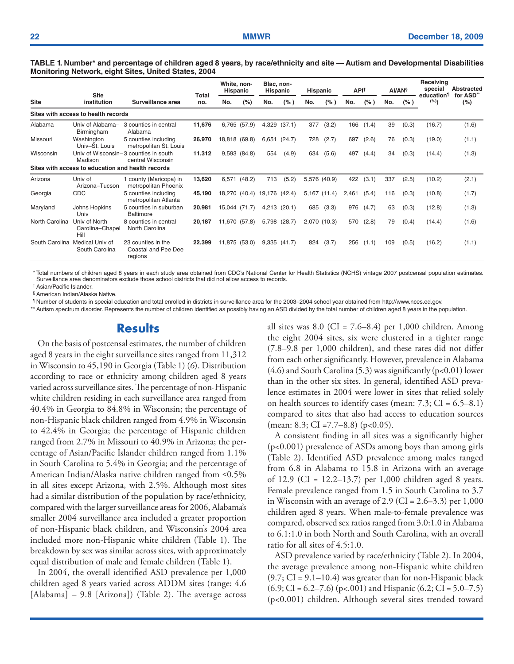#### **TABLE 1. Number\* and percentage of children aged 8 years, by race/ethnicity and site — Autism and Developmental Disabilities Monitoring Network, eight Sites, United States, 2004**

|                | <b>Site</b>                                       |                                                            | Total  | White, non-<br>Hispanic |              | Blac, non-<br>Hispanic      |                  | Hispanic     |       | <b>API<sup>t</sup></b> |       | Al/AN <sup>§</sup> |       | Receiving<br>special<br>education <sup>11</sup> | <b>Abstracted</b><br>for ASD" |  |
|----------------|---------------------------------------------------|------------------------------------------------------------|--------|-------------------------|--------------|-----------------------------|------------------|--------------|-------|------------------------|-------|--------------------|-------|-------------------------------------------------|-------------------------------|--|
| <b>Site</b>    | institution                                       | Surveillance area                                          | no.    | No.                     | (%)          | No.                         | (% )             | No.          | (% )  | No.                    | (% )  | No.                | (% )  | (%)                                             | (%)                           |  |
|                | Sites with access to health records               |                                                            |        |                         |              |                             |                  |              |       |                        |       |                    |       |                                                 |                               |  |
| Alabama        | Univ of Alabama-<br>Birmingham                    | 3 counties in central<br>Alabama                           | 11,676 |                         | 6,765 (57.9) | 4,329                       | (37.1)           | 377          | (3.2) | 166                    | (1.4) | 39                 | (0.3) | (16.7)                                          | (1.6)                         |  |
| Missouri       | Washington<br>Univ-St. Louis                      | 5 counties including<br>metropolitan St. Louis             | 26,970 | 18,818 (69.8)           |              | 6,651                       | (24.7)           | 728          | (2.7) | 697                    | (2.6) | 76                 | (0.3) | (19.0)                                          | (1.1)                         |  |
| Wisconsin      | Madison                                           | Univ of Wisconsin-3 counties in south<br>central Wisconsin | 11,312 |                         | 9,593(84.8)  | 554                         | (4.9)            | 634          | (5.6) | 497                    | (4.4) | 34                 | (0.3) | (14.4)                                          | (1.3)                         |  |
|                | Sites with access to education and health records |                                                            |        |                         |              |                             |                  |              |       |                        |       |                    |       |                                                 |                               |  |
| Arizona        | Univ of<br>Arizona-Tucson                         | 1 county (Maricopa) in<br>metropolitan Phoenix             | 13,620 |                         | 6,571 (48.2) | 713                         | (5.2)            | 5,576 (40.9) |       | 422                    | (3.1) | 337                | (2.5) | (10.2)                                          | (2.1)                         |  |
| Georgia        | <b>CDC</b>                                        | 5 counties including<br>metropolitan Atlanta               | 45,190 |                         |              | 18,270 (40.4) 19,176 (42.4) |                  | 5,167(11.4)  |       | 2,461                  | (5.4) | 116                | (0.3) | (10.8)                                          | (1.7)                         |  |
| Maryland       | Johns Hopkins<br>Univ                             | 5 counties in suburban<br><b>Baltimore</b>                 | 20,981 | 15,044 (71.7)           |              |                             | 4,213 (20.1)     | 685          | (3.3) | 976                    | (4.7) | 63                 | (0.3) | (12.8)                                          | (1.3)                         |  |
| North Carolina | Univ of North<br>Carolina-Chapel<br>Hill          | 8 counties in central<br>North Carolina                    | 20,187 | 11,670 (57.8)           |              |                             | 5,798 (28.7)     | 2,070 (10.3) |       | 570                    | (2.8) | 79                 | (0.4) | (14.4)                                          | (1.6)                         |  |
| South Carolina | Medical Univ of<br>South Carolina                 | 23 counties in the<br>Coastal and Pee Dee<br>regions       | 22,399 | 11,875 (53.0)           |              |                             | $9,335$ $(41.7)$ | 824          | (3.7) | 256                    | (1.1) | 109                | (0.5) | (16.2)                                          | (1.1)                         |  |

\* Total numbers of children aged 8 years in each study area obtained from CDC's National Center for Health Statistics (NCHS) vintage 2007 postcensal population estimates. Surveillance area denominators exclude those school districts that did not allow access to records.

† Asian/Pacific Islander.

§ American Indian/Alaska Native.

¶ Number of students in special education and total enrolled in districts in surveillance area for the 2003–2004 school year obtained from [http://www.nces.ed.gov.](http://www.nces.ed.gov)

\*\* Autism spectrum disorder. Represents the number of children identified as possibly having an ASD divided by the total number of children aged 8 years in the population.

### **Results**

On the basis of postcensal estimates, the number of children aged 8 years in the eight surveillance sites ranged from 11,312 in Wisconsin to 45,190 in Georgia (Table 1) (*6*). Distribution according to race or ethnicity among children aged 8 years varied across surveillance sites. The percentage of non-Hispanic white children residing in each surveillance area ranged from 40.4% in Georgia to 84.8% in Wisconsin; the percentage of non-Hispanic black children ranged from 4.9% in Wisconsin to 42.4% in Georgia; the percentage of Hispanic children ranged from 2.7% in Missouri to 40.9% in Arizona; the percentage of Asian/Pacific Islander children ranged from 1.1% in South Carolina to 5.4% in Georgia; and the percentage of American Indian/Alaska native children ranged from ≤0.5% in all sites except Arizona, with 2.5%. Although most sites had a similar distribution of the population by race/ethnicity, compared with the larger surveillance areas for 2006, Alabama's smaller 2004 surveillance area included a greater proportion of non-Hispanic black children, and Wisconsin's 2004 area included more non-Hispanic white children (Table 1). The breakdown by sex was similar across sites, with approximately equal distribution of male and female children (Table 1).

In 2004, the overall identified ASD prevalence per 1,000 children aged 8 years varied across ADDM sites (range: 4.6 [Alabama] – 9.8 [Arizona]) (Table 2). The average across all sites was  $8.0$  (CI = 7.6–8.4) per 1,000 children. Among the eight 2004 sites, six were clustered in a tighter range (7.8–9.8 per 1,000 children), and these rates did not differ from each other significantly. However, prevalence in Alabama  $(4.6)$  and South Carolina  $(5.3)$  was significantly  $(p<0.01)$  lower than in the other six sites. In general, identified ASD prevalence estimates in 2004 were lower in sites that relied solely on health sources to identify cases (mean:  $7.3$ ; CI =  $6.5-8.1$ ) compared to sites that also had access to education sources  $(\text{mean: } 8.3; \text{ CI} = 7.7 - 8.8) (\text{p} < 0.05).$ 

A consistent finding in all sites was a significantly higher (p<0.001) prevalence of ASDs among boys than among girls (Table 2). Identified ASD prevalence among males ranged from 6.8 in Alabama to 15.8 in Arizona with an average of 12.9 (CI = 12.2–13.7) per 1,000 children aged 8 years. Female prevalence ranged from 1.5 in South Carolina to 3.7 in Wisconsin with an average of 2.9 (CI =  $2.6-3.3$ ) per 1,000 children aged 8 years. When male-to-female prevalence was compared, observed sex ratios ranged from 3.0:1.0 in Alabama to 6.1:1.0 in both North and South Carolina, with an overall ratio for all sites of 4.5:1.0.

ASD prevalence varied by race/ethnicity (Table 2). In 2004, the average prevalence among non-Hispanic white children  $(9.7; CI = 9.1–10.4)$  was greater than for non-Hispanic black  $(6.9; CI = 6.2–7.6)$  (p<.001) and Hispanic (6.2; CI = 5.0–7.5) (p<0.001) children. Although several sites trended toward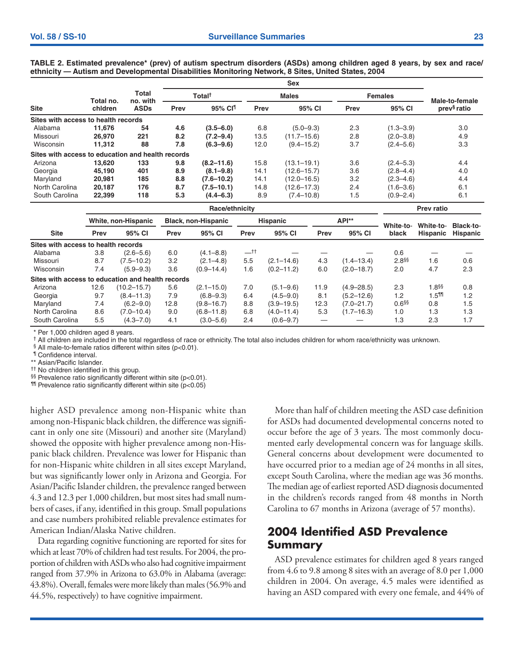|                                                   |                     | <b>Total</b><br>no. with<br><b>ASDs</b> | <b>Sex</b>                 |                |                 |                 |               |                   |                     |                      |                         |
|---------------------------------------------------|---------------------|-----------------------------------------|----------------------------|----------------|-----------------|-----------------|---------------|-------------------|---------------------|----------------------|-------------------------|
|                                                   | Total no.           |                                         | Total <sup>†</sup>         |                | <b>Males</b>    |                 |               | <b>Females</b>    |                     |                      | Male-to-female          |
| <b>Site</b>                                       | chidren             |                                         | Prev                       | 95% CI1        | Prev            |                 | 95% CI        | Prev              | 95% CI              |                      | prev <sup>§</sup> ratio |
| Sites with access to health records               |                     |                                         |                            |                |                 |                 |               |                   |                     |                      |                         |
| Alabama                                           | 11.676              | 54                                      | 4.6                        | $(3.5 - 6.0)$  | 6.8             |                 | $(5.0 - 9.3)$ | 2.3               | $(1.3 - 3.9)$       |                      | 3.0                     |
| Missouri                                          | 26.970              | 221                                     | 8.2                        | $(7.2 - 9.4)$  | 13.5            | $(11.7 - 15.6)$ |               | 2.8               | $(2.0 - 3.8)$       |                      | 4.9                     |
| Wisconsin                                         | 11,312              | 88                                      | 7.8                        | $(6.3 - 9.6)$  | 12.0            | $(9.4 - 15.2)$  |               | 3.7               |                     | 3.3<br>$(2.4 - 5.6)$ |                         |
| Sites with access to education and health records |                     |                                         |                            |                |                 |                 |               |                   |                     |                      |                         |
| Arizona                                           | 13.620              | 133                                     | 9.8                        | $(8.2 - 11.6)$ | 15.8            | $(13.1 - 19.1)$ |               | 3.6               | $(2.4 - 5.3)$       |                      | 4.4                     |
| Georgia                                           | 45.190              | 401                                     | 8.9                        | $(8.1 - 9.8)$  | 14.1            | $(12.6 - 15.7)$ |               | 3.6               | $(2.8 - 4.4)$       |                      | 4.0                     |
| Maryland                                          | 20,981              | 185                                     | 8.8                        | $(7.6 - 10.2)$ | 14.1            | $(12.0 - 16.5)$ |               | 3.2               | $(2.3 - 4.6)$       |                      | 4.4                     |
| North Carolina                                    | 20,187              | 176                                     | 8.7                        | $(7.5 - 10.1)$ | 14.8            | $(12.6 - 17.3)$ |               | 2.4               | $(1.6 - 3.6)$       |                      | 6.1                     |
| South Carolina                                    | 22,399              | 118                                     | 5.3                        | $(4.4 - 6.3)$  | 8.9             | $(7.4 - 10.8)$  |               | 1.5               | $(0.9 - 2.4)$       |                      | 6.1                     |
|                                                   | Race/ethnicity      |                                         |                            |                |                 |                 |               | <b>Prev ratio</b> |                     |                      |                         |
|                                                   | White, non-Hispanic |                                         | <b>Black, non-Hispanic</b> |                | <b>Hispanic</b> |                 | API**         |                   | White-to-           | White-to-            | <b>Black-to-</b>        |
| <b>Site</b>                                       | Prev                | 95% CI                                  | Prev                       | 95% CI         | Prev            | 95% CI          | Prev          | 95% CI            | black               | <b>Hispanic</b>      | <b>Hispanic</b>         |
| Sites with access to health records               |                     |                                         |                            |                |                 |                 |               |                   |                     |                      |                         |
| Alabama                                           | 3.8                 | $(2.6 - 5.6)$                           | 6.0                        | $(4.1 - 8.8)$  | $-$ tt          |                 |               |                   | 0.6                 |                      |                         |
| Missouri                                          | 8.7                 | $(7.5 - 10.2)$                          | 3.2                        | $(2.1 - 4.8)$  | 5.5             | $(2.1 - 14.6)$  | 4.3           | $(1.4 - 13.4)$    | $2.8$ <sup>§§</sup> | 1.6                  | 0.6                     |
| Wisconsin                                         | 7.4                 | $(5.9 - 9.3)$                           | 3.6                        | $(0.9 - 14.4)$ | 1.6             | $(0.2 - 11.2)$  | 6.0           | $(2.0 - 18.7)$    | 2.0                 | 4.7                  | 2.3                     |
| Sites with access to education and health records |                     |                                         |                            |                |                 |                 |               |                   |                     |                      |                         |
| Arizona                                           | 12.6                | $(10.2 - 15.7)$                         | 5.6                        | $(2.1 - 15.0)$ | 7.0             | $(5.1 - 9.6)$   | 11.9          | $(4.9 - 28.5)$    | 2.3                 | $1.8$ §§             | 0.8                     |
| Georgia                                           | 9.7                 | $(8.4 - 11.3)$                          | 7.9                        | $(6.8 - 9.3)$  | 6.4             | $(4.5 - 9.0)$   | 8.1           | $(5.2 - 12.6)$    | 1.2                 | $1.5$ <sup>11</sup>  | 1.2                     |
| Maryland                                          | 7.4                 | $(6.2 - 9.0)$                           | 12.8                       | $(9.8 - 16.7)$ | 8.8             | $(3.9 - 19.5)$  | 12.3          | $(7.0 - 21.7)$    | $0.6$ §§            | 0.8                  | 1.5                     |
| North Carolina                                    | 8.6                 | $(7.0 - 10.4)$                          | 9.0                        | $(6.8 - 11.8)$ | 6.8             | $(4.0 - 11.4)$  | 5.3           | $(1.7 - 16.3)$    | 1.0                 | 1.3                  | 1.3                     |
| South Carolina                                    | 5.5                 | $(4.3 - 7.0)$                           | 4.1                        | $(3.0 - 5.6)$  | 2.4             | $(0.6 - 9.7)$   | –             |                   | 1.3                 | 2.3                  | 1.7                     |

**TABLE 2. Estimated prevalence\* (prev) of autism spectrum disorders (ASDs) among children aged 8 years, by sex and race/ ethnicity — Autism and Developmental Disabilities Monitoring Network, 8 Sites, United States, 2004**

\* Per 1,000 children aged 8 years.

† All children are included in the total regardless of race or ethnicity. The total also includes children for whom race/ethnicity was unknown.

§ All male-to-female ratios different within sites (p<0.01).

¶ Confidence interval.

\*\* Asian/Pacific Islander.

†† No children identified in this group.

§§ Prevalence ratio significantly different within site (p<0.01).

 $^{\text{11}}$  Prevalence ratio significantly different within site (p<0.05)

higher ASD prevalence among non-Hispanic white than among non-Hispanic black children, the difference was significant in only one site (Missouri) and another site (Maryland) showed the opposite with higher prevalence among non-Hispanic black children. Prevalence was lower for Hispanic than for non-Hispanic white children in all sites except Maryland, but was significantly lower only in Arizona and Georgia. For Asian/Pacific Islander children, the prevalence ranged between 4.3 and 12.3 per 1,000 children, but most sites had small numbers of cases, if any, identified in this group. Small populations and case numbers prohibited reliable prevalence estimates for American Indian/Alaska Native children.

Data regarding cognitive functioning are reported for sites for which at least 70% of children had test results. For 2004, the proportion of children with ASDs who also had cognitive impairment ranged from 37.9% in Arizona to 63.0% in Alabama (average: 43.8%). Overall, females were more likely than males (56.9% and 44.5%, respectively) to have cognitive impairment.

More than half of children meeting the ASD case definition for ASDs had documented developmental concerns noted to occur before the age of 3 years. The most commonly documented early developmental concern was for language skills. General concerns about development were documented to have occurred prior to a median age of 24 months in all sites, except South Carolina, where the median age was 36 months. The median age of earliest reported ASD diagnosis documented in the children's records ranged from 48 months in North Carolina to 67 months in Arizona (average of 57 months).

## **2004 Identified ASD Prevalence Summary**

ASD prevalence estimates for children aged 8 years ranged from 4.6 to 9.8 among 8 sites with an average of 8.0 per 1,000 children in 2004. On average, 4.5 males were identified as having an ASD compared with every one female, and 44% of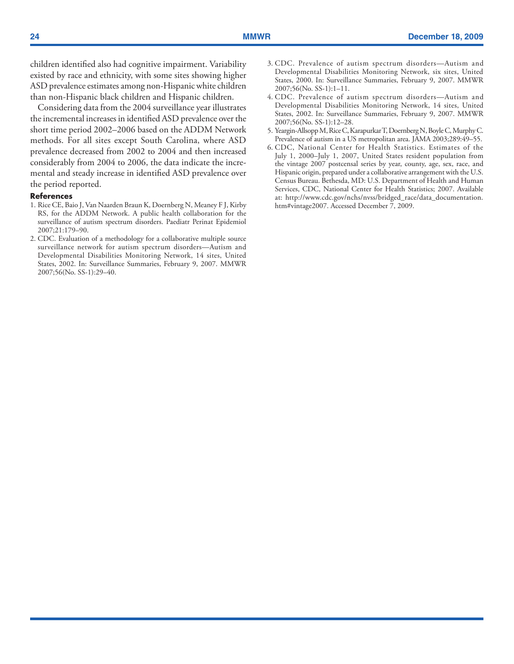children identified also had cognitive impairment. Variability existed by race and ethnicity, with some sites showing higher ASD prevalence estimates among non-Hispanic white children than non-Hispanic black children and Hispanic children.

Considering data from the 2004 surveillance year illustrates the incremental increases in identified ASD prevalence over the short time period 2002–2006 based on the ADDM Network methods. For all sites except South Carolina, where ASD prevalence decreased from 2002 to 2004 and then increased considerably from 2004 to 2006, the data indicate the incremental and steady increase in identified ASD prevalence over the period reported.

#### **References**

- 1. Rice CE, Baio J, Van Naarden Braun K, Doernberg N, Meaney F J, Kirby RS, for the ADDM Network. A public health collaboration for the surveillance of autism spectrum disorders. Paediatr Perinat Epidemiol 2007;21:179–90.
- 2. CDC. Evaluation of a methodology for a collaborative multiple source surveillance network for autism spectrum disorders—Autism and Developmental Disabilities Monitoring Network, 14 sites, United States, 2002. In: Surveillance Summaries, February 9, 2007. MMWR 2007;56(No. SS-1):29–40.
- 3. CDC. Prevalence of autism spectrum disorders—Autism and Developmental Disabilities Monitoring Network, six sites, United States, 2000. In: Surveillance Summaries, February 9, 2007. MMWR 2007;56(No. SS-1):1–11.
- 4. CDC. Prevalence of autism spectrum disorders—Autism and Developmental Disabilities Monitoring Network, 14 sites, United States, 2002. In: Surveillance Summaries, February 9, 2007. MMWR 2007;56(No. SS-1):12–28.
- 5. Yeargin-Allsopp M, Rice C, Karapurkar T, Doernberg N, Boyle C, Murphy C. Prevalence of autism in a US metropolitan area. JAMA 2003;289:49–55.
- 6. CDC, National Center for Health Statistics. Estimates of the July 1, 2000–July 1, 2007, United States resident population from the vintage 2007 postcensal series by year, county, age, sex, race, and Hispanic origin, prepared under a collaborative arrangement with the U.S. Census Bureau. Bethesda, MD: U.S. Department of Health and Human Services, CDC, National Center for Health Statistics; 2007. Available at: [http://www.cdc.gov/nchs/nvss/bridged\\_race/data\\_documentation.](http://www.cdc.gov/nchs/nvss/bridged_race/data_documentation.htm#vintage2007) [htm#vintage2007](http://www.cdc.gov/nchs/nvss/bridged_race/data_documentation.htm#vintage2007). Accessed December 7, 2009.